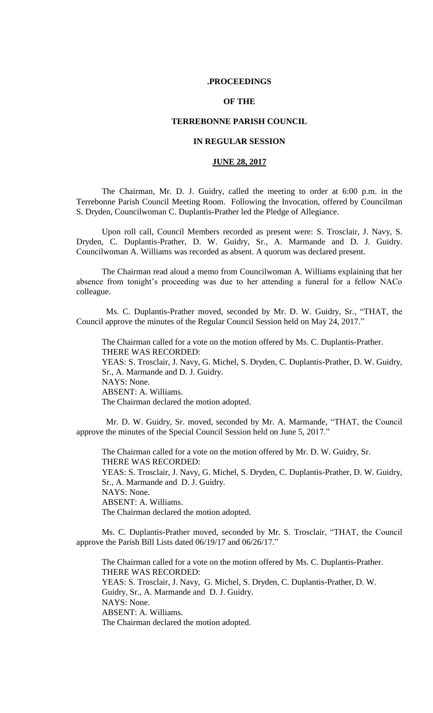## **.PROCEEDINGS**

## **OF THE**

## **TERREBONNE PARISH COUNCIL**

## **IN REGULAR SESSION**

### **JUNE 28, 2017**

The Chairman, Mr. D. J. Guidry, called the meeting to order at 6:00 p.m. in the Terrebonne Parish Council Meeting Room. Following the Invocation, offered by Councilman S. Dryden, Councilwoman C. Duplantis-Prather led the Pledge of Allegiance.

Upon roll call, Council Members recorded as present were: S. Trosclair, J. Navy, S. Dryden, C. Duplantis-Prather, D. W. Guidry, Sr., A. Marmande and D. J. Guidry. Councilwoman A. Williams was recorded as absent. A quorum was declared present.

The Chairman read aloud a memo from Councilwoman A. Williams explaining that her absence from tonight's proceeding was due to her attending a funeral for a fellow NACo colleague.

 Ms. C. Duplantis-Prather moved, seconded by Mr. D. W. Guidry, Sr., "THAT, the Council approve the minutes of the Regular Council Session held on May 24, 2017."

The Chairman called for a vote on the motion offered by Ms. C. Duplantis-Prather. THERE WAS RECORDED: YEAS: S. Trosclair, J. Navy, G. Michel, S. Dryden, C. Duplantis-Prather, D. W. Guidry, Sr., A. Marmande and D. J. Guidry. NAYS: None. ABSENT: A. Williams. The Chairman declared the motion adopted.

 Mr. D. W. Guidry, Sr. moved, seconded by Mr. A. Marmande, "THAT, the Council approve the minutes of the Special Council Session held on June 5, 2017."

The Chairman called for a vote on the motion offered by Mr. D. W. Guidry, Sr. THERE WAS RECORDED: YEAS: S. Trosclair, J. Navy, G. Michel, S. Dryden, C. Duplantis-Prather, D. W. Guidry, Sr., A. Marmande and D. J. Guidry. NAYS: None. ABSENT: A. Williams. The Chairman declared the motion adopted.

Ms. C. Duplantis-Prather moved, seconded by Mr. S. Trosclair, "THAT, the Council approve the Parish Bill Lists dated 06/19/17 and 06/26/17."

The Chairman called for a vote on the motion offered by Ms. C. Duplantis-Prather. THERE WAS RECORDED: YEAS: S. Trosclair, J. Navy, G. Michel, S. Dryden, C. Duplantis-Prather, D. W. Guidry, Sr., A. Marmande and D. J. Guidry. NAYS: None. ABSENT: A. Williams. The Chairman declared the motion adopted.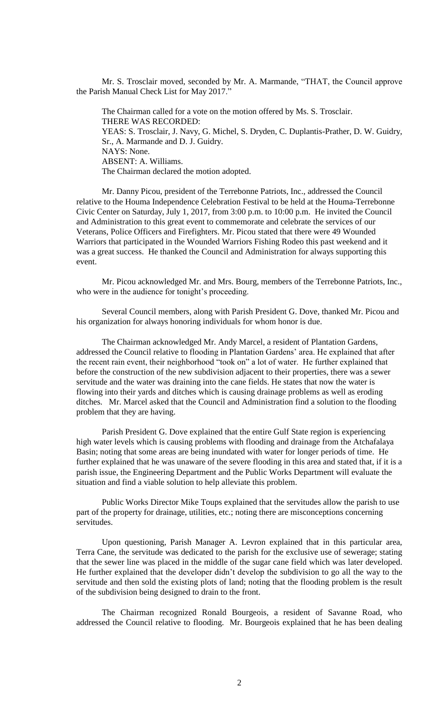Mr. S. Trosclair moved, seconded by Mr. A. Marmande, "THAT, the Council approve the Parish Manual Check List for May 2017."

The Chairman called for a vote on the motion offered by Ms. S. Trosclair. THERE WAS RECORDED: YEAS: S. Trosclair, J. Navy, G. Michel, S. Dryden, C. Duplantis-Prather, D. W. Guidry, Sr., A. Marmande and D. J. Guidry. NAYS: None. ABSENT: A. Williams. The Chairman declared the motion adopted.

Mr. Danny Picou, president of the Terrebonne Patriots, Inc., addressed the Council relative to the Houma Independence Celebration Festival to be held at the Houma-Terrebonne Civic Center on Saturday, July 1, 2017, from 3:00 p.m. to 10:00 p.m. He invited the Council and Administration to this great event to commemorate and celebrate the services of our Veterans, Police Officers and Firefighters. Mr. Picou stated that there were 49 Wounded Warriors that participated in the Wounded Warriors Fishing Rodeo this past weekend and it was a great success. He thanked the Council and Administration for always supporting this event.

Mr. Picou acknowledged Mr. and Mrs. Bourg, members of the Terrebonne Patriots, Inc., who were in the audience for tonight's proceeding.

Several Council members, along with Parish President G. Dove, thanked Mr. Picou and his organization for always honoring individuals for whom honor is due.

The Chairman acknowledged Mr. Andy Marcel, a resident of Plantation Gardens, addressed the Council relative to flooding in Plantation Gardens' area. He explained that after the recent rain event, their neighborhood "took on" a lot of water. He further explained that before the construction of the new subdivision adjacent to their properties, there was a sewer servitude and the water was draining into the cane fields. He states that now the water is flowing into their yards and ditches which is causing drainage problems as well as eroding ditches. Mr. Marcel asked that the Council and Administration find a solution to the flooding problem that they are having.

Parish President G. Dove explained that the entire Gulf State region is experiencing high water levels which is causing problems with flooding and drainage from the Atchafalaya Basin; noting that some areas are being inundated with water for longer periods of time. He further explained that he was unaware of the severe flooding in this area and stated that, if it is a parish issue, the Engineering Department and the Public Works Department will evaluate the situation and find a viable solution to help alleviate this problem.

Public Works Director Mike Toups explained that the servitudes allow the parish to use part of the property for drainage, utilities, etc.; noting there are misconceptions concerning servitudes.

Upon questioning, Parish Manager A. Levron explained that in this particular area, Terra Cane, the servitude was dedicated to the parish for the exclusive use of sewerage; stating that the sewer line was placed in the middle of the sugar cane field which was later developed. He further explained that the developer didn't develop the subdivision to go all the way to the servitude and then sold the existing plots of land; noting that the flooding problem is the result of the subdivision being designed to drain to the front.

The Chairman recognized Ronald Bourgeois, a resident of Savanne Road, who addressed the Council relative to flooding. Mr. Bourgeois explained that he has been dealing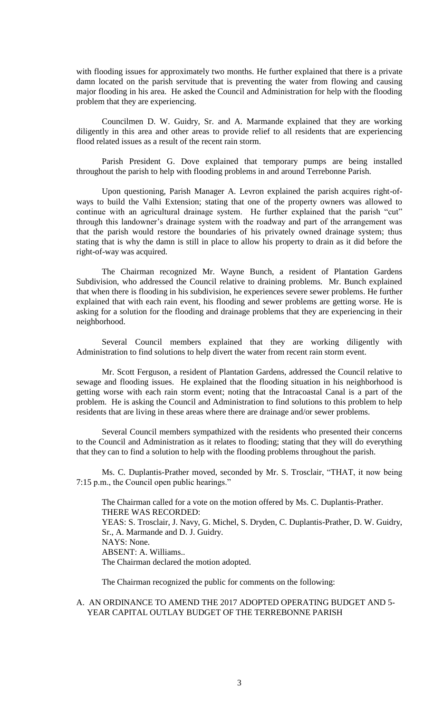with flooding issues for approximately two months. He further explained that there is a private damn located on the parish servitude that is preventing the water from flowing and causing major flooding in his area. He asked the Council and Administration for help with the flooding problem that they are experiencing.

Councilmen D. W. Guidry, Sr. and A. Marmande explained that they are working diligently in this area and other areas to provide relief to all residents that are experiencing flood related issues as a result of the recent rain storm.

Parish President G. Dove explained that temporary pumps are being installed throughout the parish to help with flooding problems in and around Terrebonne Parish.

Upon questioning, Parish Manager A. Levron explained the parish acquires right-ofways to build the Valhi Extension; stating that one of the property owners was allowed to continue with an agricultural drainage system. He further explained that the parish "cut" through this landowner's drainage system with the roadway and part of the arrangement was that the parish would restore the boundaries of his privately owned drainage system; thus stating that is why the damn is still in place to allow his property to drain as it did before the right-of-way was acquired.

The Chairman recognized Mr. Wayne Bunch, a resident of Plantation Gardens Subdivision, who addressed the Council relative to draining problems. Mr. Bunch explained that when there is flooding in his subdivision, he experiences severe sewer problems. He further explained that with each rain event, his flooding and sewer problems are getting worse. He is asking for a solution for the flooding and drainage problems that they are experiencing in their neighborhood.

Several Council members explained that they are working diligently with Administration to find solutions to help divert the water from recent rain storm event.

Mr. Scott Ferguson, a resident of Plantation Gardens, addressed the Council relative to sewage and flooding issues. He explained that the flooding situation in his neighborhood is getting worse with each rain storm event; noting that the Intracoastal Canal is a part of the problem. He is asking the Council and Administration to find solutions to this problem to help residents that are living in these areas where there are drainage and/or sewer problems.

Several Council members sympathized with the residents who presented their concerns to the Council and Administration as it relates to flooding; stating that they will do everything that they can to find a solution to help with the flooding problems throughout the parish.

Ms. C. Duplantis-Prather moved, seconded by Mr. S. Trosclair, "THAT, it now being 7:15 p.m., the Council open public hearings."

The Chairman called for a vote on the motion offered by Ms. C. Duplantis-Prather. THERE WAS RECORDED: YEAS: S. Trosclair, J. Navy, G. Michel, S. Dryden, C. Duplantis-Prather, D. W. Guidry, Sr., A. Marmande and D. J. Guidry. NAYS: None. ABSENT: A. Williams.. The Chairman declared the motion adopted.

The Chairman recognized the public for comments on the following:

A. AN ORDINANCE TO AMEND THE 2017 ADOPTED OPERATING BUDGET AND 5- YEAR CAPITAL OUTLAY BUDGET OF THE TERREBONNE PARISH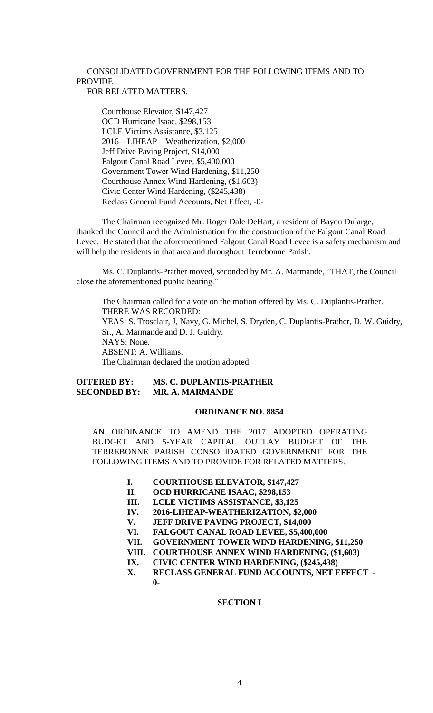## CONSOLIDATED GOVERNMENT FOR THE FOLLOWING ITEMS AND TO PROVIDE

## FOR RELATED MATTERS.

Courthouse Elevator, \$147,427 OCD Hurricane Isaac, \$298,153 LCLE Victims Assistance, \$3,125 2016 – LIHEAP – Weatherization, \$2,000 Jeff Drive Paving Project, \$14,000 Falgout Canal Road Levee, \$5,400,000 Government Tower Wind Hardening, \$11,250 Courthouse Annex Wind Hardening, (\$1,603) Civic Center Wind Hardening, (\$245,438) Reclass General Fund Accounts, Net Effect, -0-

The Chairman recognized Mr. Roger Dale DeHart, a resident of Bayou Dularge, thanked the Council and the Administration for the construction of the Falgout Canal Road Levee. He stated that the aforementioned Falgout Canal Road Levee is a safety mechanism and will help the residents in that area and throughout Terrebonne Parish.

Ms. C. Duplantis-Prather moved, seconded by Mr. A. Marmande, "THAT, the Council close the aforementioned public hearing."

The Chairman called for a vote on the motion offered by Ms. C. Duplantis-Prather. THERE WAS RECORDED:

YEAS: S. Trosclair, J, Navy, G. Michel, S. Dryden, C. Duplantis-Prather, D. W. Guidry, Sr., A. Marmande and D. J. Guidry. NAYS: None. ABSENT: A. Williams.

The Chairman declared the motion adopted.

## **OFFERED BY: MS. C. DUPLANTIS-PRATHER SECONDED BY: MR. A. MARMANDE**

### **ORDINANCE NO. 8854**

AN ORDINANCE TO AMEND THE 2017 ADOPTED OPERATING BUDGET AND 5-YEAR CAPITAL OUTLAY BUDGET OF THE TERREBONNE PARISH CONSOLIDATED GOVERNMENT FOR THE FOLLOWING ITEMS AND TO PROVIDE FOR RELATED MATTERS.

- **I. COURTHOUSE ELEVATOR, \$147,427**
- **II. OCD HURRICANE ISAAC, \$298,153**
- **III. LCLE VICTIMS ASSISTANCE, \$3,125**
- **IV. 2016-LIHEAP-WEATHERIZATION, \$2,000**
- **V. JEFF DRIVE PAVING PROJECT, \$14,000**
- **VI. FALGOUT CANAL ROAD LEVEE, \$5,400,000**
- **VII. GOVERNMENT TOWER WIND HARDENING, \$11,250**
- **VIII. COURTHOUSE ANNEX WIND HARDENING, (\$1,603)**
- **IX. CIVIC CENTER WIND HARDENING, (\$245,438)**
- **X. RECLASS GENERAL FUND ACCOUNTS, NET EFFECT - 0-**

## **SECTION I**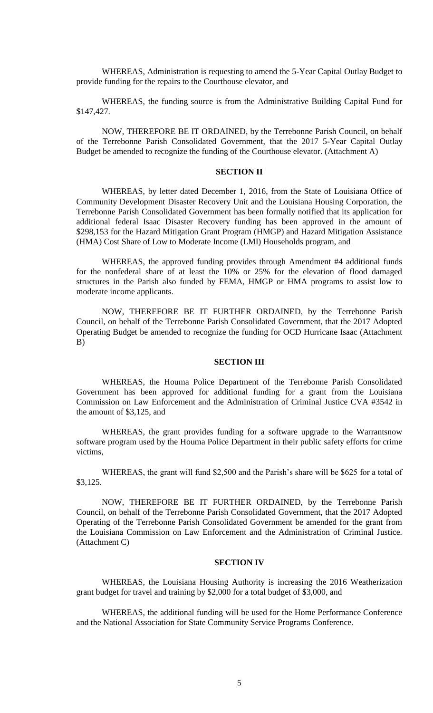WHEREAS, Administration is requesting to amend the 5-Year Capital Outlay Budget to provide funding for the repairs to the Courthouse elevator, and

WHEREAS, the funding source is from the Administrative Building Capital Fund for \$147,427.

NOW, THEREFORE BE IT ORDAINED, by the Terrebonne Parish Council, on behalf of the Terrebonne Parish Consolidated Government, that the 2017 5-Year Capital Outlay Budget be amended to recognize the funding of the Courthouse elevator. (Attachment A)

## **SECTION II**

WHEREAS, by letter dated December 1, 2016, from the State of Louisiana Office of Community Development Disaster Recovery Unit and the Louisiana Housing Corporation, the Terrebonne Parish Consolidated Government has been formally notified that its application for additional federal Isaac Disaster Recovery funding has been approved in the amount of \$298,153 for the Hazard Mitigation Grant Program (HMGP) and Hazard Mitigation Assistance (HMA) Cost Share of Low to Moderate Income (LMI) Households program, and

WHEREAS, the approved funding provides through Amendment #4 additional funds for the nonfederal share of at least the 10% or 25% for the elevation of flood damaged structures in the Parish also funded by FEMA, HMGP or HMA programs to assist low to moderate income applicants.

NOW, THEREFORE BE IT FURTHER ORDAINED, by the Terrebonne Parish Council, on behalf of the Terrebonne Parish Consolidated Government, that the 2017 Adopted Operating Budget be amended to recognize the funding for OCD Hurricane Isaac (Attachment B)

#### **SECTION III**

WHEREAS, the Houma Police Department of the Terrebonne Parish Consolidated Government has been approved for additional funding for a grant from the Louisiana Commission on Law Enforcement and the Administration of Criminal Justice CVA #3542 in the amount of \$3,125, and

WHEREAS, the grant provides funding for a software upgrade to the Warrantsnow software program used by the Houma Police Department in their public safety efforts for crime victims,

WHEREAS, the grant will fund \$2,500 and the Parish's share will be \$625 for a total of \$3,125.

NOW, THEREFORE BE IT FURTHER ORDAINED, by the Terrebonne Parish Council, on behalf of the Terrebonne Parish Consolidated Government, that the 2017 Adopted Operating of the Terrebonne Parish Consolidated Government be amended for the grant from the Louisiana Commission on Law Enforcement and the Administration of Criminal Justice. (Attachment C)

## **SECTION IV**

WHEREAS, the Louisiana Housing Authority is increasing the 2016 Weatherization grant budget for travel and training by \$2,000 for a total budget of \$3,000, and

WHEREAS, the additional funding will be used for the Home Performance Conference and the National Association for State Community Service Programs Conference.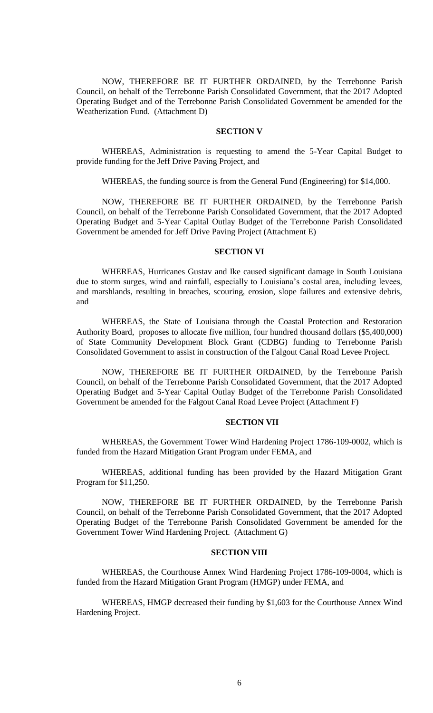NOW, THEREFORE BE IT FURTHER ORDAINED, by the Terrebonne Parish Council, on behalf of the Terrebonne Parish Consolidated Government, that the 2017 Adopted Operating Budget and of the Terrebonne Parish Consolidated Government be amended for the Weatherization Fund. (Attachment D)

## **SECTION V**

WHEREAS, Administration is requesting to amend the 5-Year Capital Budget to provide funding for the Jeff Drive Paving Project, and

WHEREAS, the funding source is from the General Fund (Engineering) for \$14,000.

NOW, THEREFORE BE IT FURTHER ORDAINED, by the Terrebonne Parish Council, on behalf of the Terrebonne Parish Consolidated Government, that the 2017 Adopted Operating Budget and 5-Year Capital Outlay Budget of the Terrebonne Parish Consolidated Government be amended for Jeff Drive Paving Project (Attachment E)

#### **SECTION VI**

WHEREAS, Hurricanes Gustav and Ike caused significant damage in South Louisiana due to storm surges, wind and rainfall, especially to Louisiana's costal area, including levees, and marshlands, resulting in breaches, scouring, erosion, slope failures and extensive debris, and

WHEREAS, the State of Louisiana through the Coastal Protection and Restoration Authority Board, proposes to allocate five million, four hundred thousand dollars (\$5,400,000) of State Community Development Block Grant (CDBG) funding to Terrebonne Parish Consolidated Government to assist in construction of the Falgout Canal Road Levee Project.

NOW, THEREFORE BE IT FURTHER ORDAINED, by the Terrebonne Parish Council, on behalf of the Terrebonne Parish Consolidated Government, that the 2017 Adopted Operating Budget and 5-Year Capital Outlay Budget of the Terrebonne Parish Consolidated Government be amended for the Falgout Canal Road Levee Project (Attachment F)

### **SECTION VII**

WHEREAS, the Government Tower Wind Hardening Project 1786-109-0002, which is funded from the Hazard Mitigation Grant Program under FEMA, and

WHEREAS, additional funding has been provided by the Hazard Mitigation Grant Program for \$11,250.

NOW, THEREFORE BE IT FURTHER ORDAINED, by the Terrebonne Parish Council, on behalf of the Terrebonne Parish Consolidated Government, that the 2017 Adopted Operating Budget of the Terrebonne Parish Consolidated Government be amended for the Government Tower Wind Hardening Project. (Attachment G)

## **SECTION VIII**

WHEREAS, the Courthouse Annex Wind Hardening Project 1786-109-0004, which is funded from the Hazard Mitigation Grant Program (HMGP) under FEMA, and

WHEREAS, HMGP decreased their funding by \$1,603 for the Courthouse Annex Wind Hardening Project.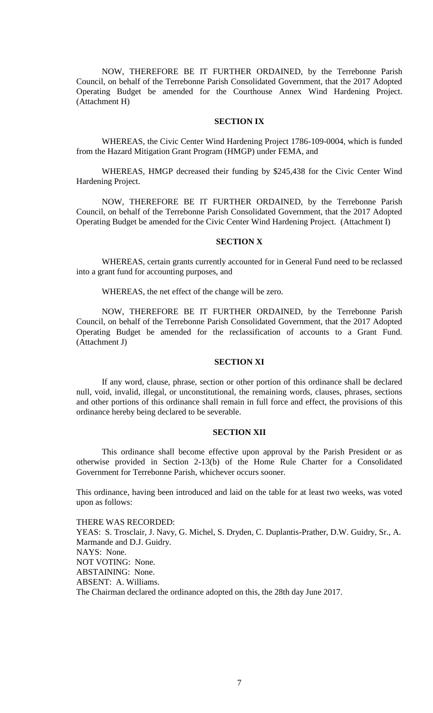NOW, THEREFORE BE IT FURTHER ORDAINED, by the Terrebonne Parish Council, on behalf of the Terrebonne Parish Consolidated Government, that the 2017 Adopted Operating Budget be amended for the Courthouse Annex Wind Hardening Project. (Attachment H)

#### **SECTION IX**

WHEREAS, the Civic Center Wind Hardening Project 1786-109-0004, which is funded from the Hazard Mitigation Grant Program (HMGP) under FEMA, and

WHEREAS, HMGP decreased their funding by \$245,438 for the Civic Center Wind Hardening Project.

NOW, THEREFORE BE IT FURTHER ORDAINED, by the Terrebonne Parish Council, on behalf of the Terrebonne Parish Consolidated Government, that the 2017 Adopted Operating Budget be amended for the Civic Center Wind Hardening Project. (Attachment I)

## **SECTION X**

WHEREAS, certain grants currently accounted for in General Fund need to be reclassed into a grant fund for accounting purposes, and

WHEREAS, the net effect of the change will be zero.

NOW, THEREFORE BE IT FURTHER ORDAINED, by the Terrebonne Parish Council, on behalf of the Terrebonne Parish Consolidated Government, that the 2017 Adopted Operating Budget be amended for the reclassification of accounts to a Grant Fund. (Attachment J)

### **SECTION XI**

If any word, clause, phrase, section or other portion of this ordinance shall be declared null, void, invalid, illegal, or unconstitutional, the remaining words, clauses, phrases, sections and other portions of this ordinance shall remain in full force and effect, the provisions of this ordinance hereby being declared to be severable.

#### **SECTION XII**

This ordinance shall become effective upon approval by the Parish President or as otherwise provided in Section 2-13(b) of the Home Rule Charter for a Consolidated Government for Terrebonne Parish, whichever occurs sooner.

This ordinance, having been introduced and laid on the table for at least two weeks, was voted upon as follows:

THERE WAS RECORDED: YEAS: S. Trosclair, J. Navy, G. Michel, S. Dryden, C. Duplantis-Prather, D.W. Guidry, Sr., A. Marmande and D.J. Guidry. NAYS: None. NOT VOTING: None. ABSTAINING: None. ABSENT: A. Williams. The Chairman declared the ordinance adopted on this, the 28th day June 2017.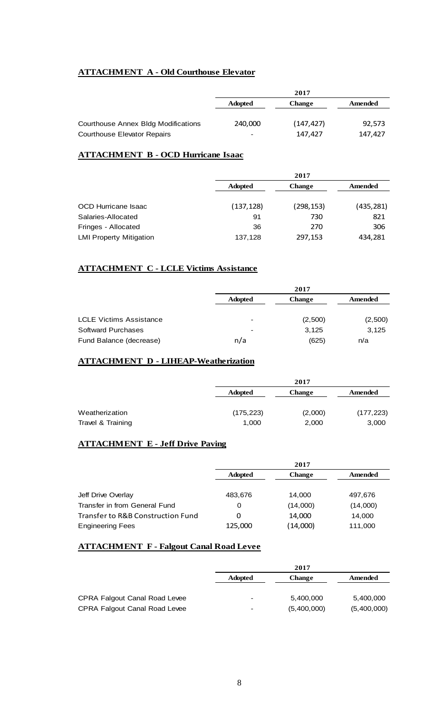## **ATTACHMENT A - Old Courthouse Elevator**

|                                            | 2017                     |               |         |  |  |
|--------------------------------------------|--------------------------|---------------|---------|--|--|
|                                            | <b>Adopted</b>           | <b>Change</b> | Amended |  |  |
|                                            |                          |               |         |  |  |
| <b>Courthouse Annex Bldg Modifications</b> | 240,000                  | (147, 427)    | 92,573  |  |  |
| Courthouse Elevator Repairs                | $\overline{\phantom{0}}$ | 147,427       | 147,427 |  |  |

# **ATTACHMENT B - OCD Hurricane Isaac**

|                                |                | 2017          |            |
|--------------------------------|----------------|---------------|------------|
|                                | <b>Adopted</b> | <b>Change</b> | Amended    |
| OCD Hurricane Isaac            | (137, 128)     | (298, 153)    | (435, 281) |
| Salaries-Allocated             | 91             | 730           | 821        |
| Fringes - Allocated            | 36             | 270           | 306        |
| <b>LMI Property Mitigation</b> | 137,128        | 297,153       | 434,281    |

## **ATTACHMENT C - LCLE Victims Assistance**

|                                |                          | 2017          |         |
|--------------------------------|--------------------------|---------------|---------|
|                                | <b>Adopted</b>           | <b>Change</b> | Amended |
| <b>LCLE Victims Assistance</b> | $\overline{\phantom{0}}$ | (2,500)       | (2,500) |
| Softward Purchases             | $\overline{\phantom{0}}$ | 3,125         | 3,125   |
| Fund Balance (decrease)        | n/a                      | (625)         | n/a     |

## **ATTACHMENT D - LIHEAP-Weatherization**

|                   |                | 2017          |            |
|-------------------|----------------|---------------|------------|
|                   | <b>Adopted</b> | <b>Change</b> | Amended    |
| Weatherization    | (175, 223)     | (2,000)       | (177, 223) |
| Travel & Training | 1,000          | 2,000         | 3,000      |

## **ATTACHMENT E - Jeff Drive Paving**

|                                   | 2017           |               |          |  |
|-----------------------------------|----------------|---------------|----------|--|
|                                   | <b>Adopted</b> | <b>Change</b> | Amended  |  |
|                                   |                |               |          |  |
| Jeff Drive Overlay                | 483,676        | 14.000        | 497,676  |  |
| Transfer in from General Fund     | 0              | (14,000)      | (14,000) |  |
| Transfer to R&B Construction Fund | 0              | 14,000        | 14,000   |  |
| <b>Engineering Fees</b>           | 125,000        | (14,000)      | 111,000  |  |

## **ATTACHMENT F - Falgout Canal Road Levee**

|                                      | 2017           |               |             |
|--------------------------------------|----------------|---------------|-------------|
|                                      | <b>Adopted</b> | <b>Change</b> | Amended     |
|                                      |                |               |             |
| <b>CPRA Falgout Canal Road Levee</b> | -              | 5,400,000     | 5,400,000   |
| <b>CPRA Falgout Canal Road Levee</b> |                | (5,400,000)   | (5,400,000) |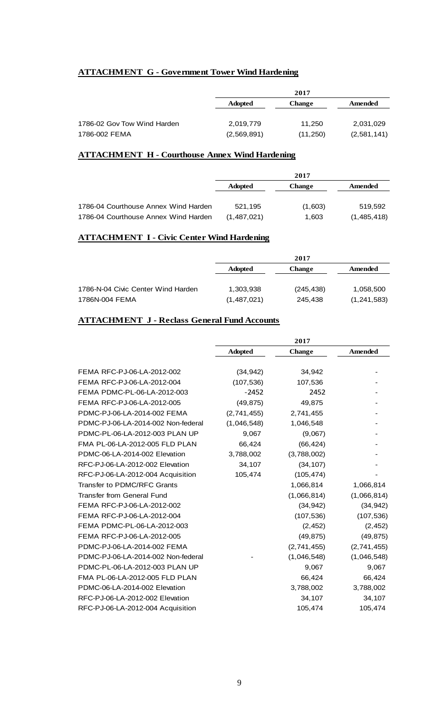## **ATTACHMENT G - Government Tower Wind Hardening**

|                | 2017          |             |
|----------------|---------------|-------------|
| <b>Adopted</b> | <b>Change</b> | Amended     |
|                |               |             |
| 2,019,779      | 11,250        | 2,031,029   |
| (2,569,891)    | (11,250)      | (2,581,141) |
|                |               |             |

## **ATTACHMENT H - Courthouse Annex Wind Hardening**

|                                      | 2017           |               |             |
|--------------------------------------|----------------|---------------|-------------|
|                                      | <b>Adopted</b> | <b>Change</b> | Amended     |
|                                      |                |               |             |
| 1786-04 Courthouse Annex Wind Harden | 521.195        | (1,603)       | 519.592     |
| 1786-04 Courthouse Annex Wind Harden | (1,487,021)    | 1,603         | (1,485,418) |

## **ATTACHMENT I - Civic Center Wind Hardening**

|                                    |                | 2017          |               |
|------------------------------------|----------------|---------------|---------------|
|                                    | <b>Adopted</b> | <b>Change</b> | Amended       |
|                                    |                |               |               |
| 1786-N-04 Civic Center Wind Harden | 1,303,938      | (245, 438)    | 1,058,500     |
| 1786N-004 FEMA                     | (1,487,021)    | 245,438       | (1, 241, 583) |

## **ATTACHMENT J - Reclass General Fund Accounts**

|                                    | 2017           |             |                |
|------------------------------------|----------------|-------------|----------------|
|                                    | <b>Adopted</b> | Change      | <b>Amended</b> |
| FEMA RFC-PJ-06-LA-2012-002         | (34, 942)      | 34,942      |                |
| FEMA RFC-PJ-06-LA-2012-004         | (107, 536)     | 107,536     |                |
| FEMA PDMC-PL-06-LA-2012-003        | $-2452$        | 2452        |                |
| FEMA RFC-PJ-06-LA-2012-005         | (49, 875)      | 49,875      |                |
| PDMC-PJ-06-LA-2014-002 FEMA        | (2,741,455)    | 2,741,455   |                |
| PDMC-PJ-06-LA-2014-002 Non-federal | (1,046,548)    | 1,046,548   |                |
| PDMC-PL-06-LA-2012-003 PLAN UP     | 9,067          | (9,067)     |                |
| FMA PL-06-LA-2012-005 FLD PLAN     | 66,424         | (66, 424)   |                |
| PDMC-06-LA-2014-002 Elevation      | 3,788,002      | (3,788,002) |                |
| RFC-PJ-06-LA-2012-002 Elevation    | 34,107         | (34, 107)   |                |
| RFC-PJ-06-LA-2012-004 Acquisition  | 105,474        | (105, 474)  |                |
| Transfer to PDMC/RFC Grants        |                | 1,066,814   | 1,066,814      |
| <b>Transfer from General Fund</b>  |                | (1,066,814) | (1,066,814)    |
| FEMA RFC-PJ-06-LA-2012-002         |                | (34, 942)   | (34, 942)      |
| FEMA RFC-PJ-06-LA-2012-004         |                | (107, 536)  | (107, 536)     |
| FEMA PDMC-PL-06-LA-2012-003        |                | (2, 452)    | (2, 452)       |
| FEMA RFC-PJ-06-LA-2012-005         |                | (49, 875)   | (49, 875)      |
| PDMC-PJ-06-LA-2014-002 FEMA        |                | (2,741,455) | (2,741,455)    |
| PDMC-PJ-06-LA-2014-002 Non-federal |                | (1,046,548) | (1,046,548)    |
| PDMC-PL-06-LA-2012-003 PLAN UP     |                | 9,067       | 9,067          |
| FMA PL-06-LA-2012-005 FLD PLAN     |                | 66,424      | 66,424         |
| PDMC-06-LA-2014-002 Elevation      |                | 3,788,002   | 3,788,002      |
| RFC-PJ-06-LA-2012-002 Elevation    |                | 34,107      | 34,107         |
| RFC-PJ-06-LA-2012-004 Acquisition  |                | 105,474     | 105,474        |
|                                    |                |             |                |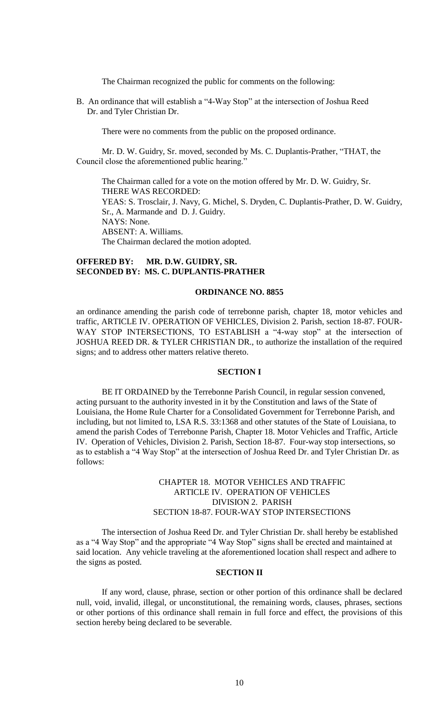The Chairman recognized the public for comments on the following:

B. An ordinance that will establish a "4-Way Stop" at the intersection of Joshua Reed Dr. and Tyler Christian Dr.

There were no comments from the public on the proposed ordinance.

Mr. D. W. Guidry, Sr. moved, seconded by Ms. C. Duplantis-Prather, "THAT, the Council close the aforementioned public hearing."

The Chairman called for a vote on the motion offered by Mr. D. W. Guidry, Sr. THERE WAS RECORDED: YEAS: S. Trosclair, J. Navy, G. Michel, S. Dryden, C. Duplantis-Prather, D. W. Guidry, Sr., A. Marmande and D. J. Guidry. NAYS: None. ABSENT: A. Williams. The Chairman declared the motion adopted.

## **OFFERED BY: MR. D.W. GUIDRY, SR. SECONDED BY: MS. C. DUPLANTIS-PRATHER**

## **ORDINANCE NO. 8855**

an ordinance amending the parish code of terrebonne parish, chapter 18, motor vehicles and traffic, ARTICLE IV. OPERATION OF VEHICLES, Division 2. Parish, section 18-87. FOUR-WAY STOP INTERSECTIONS, TO ESTABLISH a "4-way stop" at the intersection of JOSHUA REED DR. & TYLER CHRISTIAN DR., to authorize the installation of the required signs; and to address other matters relative thereto.

### **SECTION I**

BE IT ORDAINED by the Terrebonne Parish Council, in regular session convened, acting pursuant to the authority invested in it by the Constitution and laws of the State of Louisiana, the Home Rule Charter for a Consolidated Government for Terrebonne Parish, and including, but not limited to, LSA R.S. 33:1368 and other statutes of the State of Louisiana, to amend the parish Codes of Terrebonne Parish, Chapter 18. Motor Vehicles and Traffic, Article IV. Operation of Vehicles, Division 2. Parish, Section 18-87. Four-way stop intersections, so as to establish a "4 Way Stop" at the intersection of Joshua Reed Dr. and Tyler Christian Dr. as follows:

## CHAPTER 18. MOTOR VEHICLES AND TRAFFIC ARTICLE IV. OPERATION OF VEHICLES DIVISION 2. PARISH SECTION 18-87. FOUR-WAY STOP INTERSECTIONS

The intersection of Joshua Reed Dr. and Tyler Christian Dr. shall hereby be established as a "4 Way Stop" and the appropriate "4 Way Stop" signs shall be erected and maintained at said location. Any vehicle traveling at the aforementioned location shall respect and adhere to the signs as posted.

## **SECTION II**

If any word, clause, phrase, section or other portion of this ordinance shall be declared null, void, invalid, illegal, or unconstitutional, the remaining words, clauses, phrases, sections or other portions of this ordinance shall remain in full force and effect, the provisions of this section hereby being declared to be severable.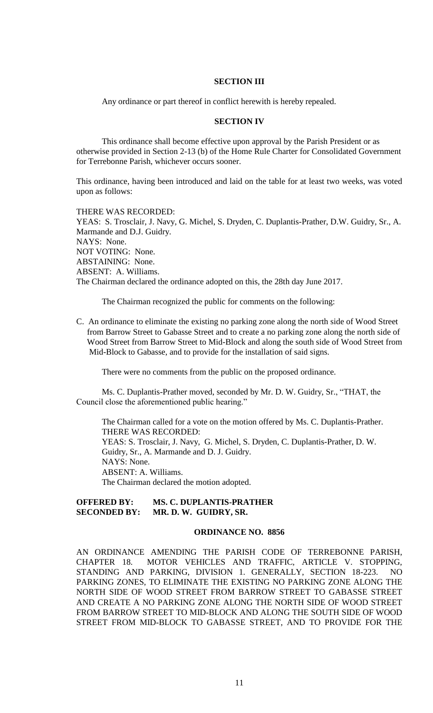## **SECTION III**

Any ordinance or part thereof in conflict herewith is hereby repealed.

## **SECTION IV**

This ordinance shall become effective upon approval by the Parish President or as otherwise provided in Section 2-13 (b) of the Home Rule Charter for Consolidated Government for Terrebonne Parish, whichever occurs sooner.

This ordinance, having been introduced and laid on the table for at least two weeks, was voted upon as follows:

THERE WAS RECORDED: YEAS: S. Trosclair, J. Navy, G. Michel, S. Dryden, C. Duplantis-Prather, D.W. Guidry, Sr., A. Marmande and D.J. Guidry. NAYS: None. NOT VOTING: None. ABSTAINING: None. ABSENT: A. Williams. The Chairman declared the ordinance adopted on this, the 28th day June 2017.

The Chairman recognized the public for comments on the following:

C. An ordinance to eliminate the existing no parking zone along the north side of Wood Street from Barrow Street to Gabasse Street and to create a no parking zone along the north side of Wood Street from Barrow Street to Mid-Block and along the south side of Wood Street from Mid-Block to Gabasse, and to provide for the installation of said signs.

There were no comments from the public on the proposed ordinance.

Ms. C. Duplantis-Prather moved, seconded by Mr. D. W. Guidry, Sr., "THAT, the Council close the aforementioned public hearing."

The Chairman called for a vote on the motion offered by Ms. C. Duplantis-Prather. THERE WAS RECORDED: YEAS: S. Trosclair, J. Navy, G. Michel, S. Dryden, C. Duplantis-Prather, D. W. Guidry, Sr., A. Marmande and D. J. Guidry. NAYS: None. ABSENT: A. Williams. The Chairman declared the motion adopted.

## **OFFERED BY: MS. C. DUPLANTIS-PRATHER SECONDED BY: MR. D. W. GUIDRY, SR.**

### **ORDINANCE NO. 8856**

AN ORDINANCE AMENDING THE PARISH CODE OF TERREBONNE PARISH, CHAPTER 18. MOTOR VEHICLES AND TRAFFIC, ARTICLE V. STOPPING, STANDING AND PARKING, DIVISION 1. GENERALLY, SECTION 18-223. NO PARKING ZONES, TO ELIMINATE THE EXISTING NO PARKING ZONE ALONG THE NORTH SIDE OF WOOD STREET FROM BARROW STREET TO GABASSE STREET AND CREATE A NO PARKING ZONE ALONG THE NORTH SIDE OF WOOD STREET FROM BARROW STREET TO MID-BLOCK AND ALONG THE SOUTH SIDE OF WOOD STREET FROM MID-BLOCK TO GABASSE STREET, AND TO PROVIDE FOR THE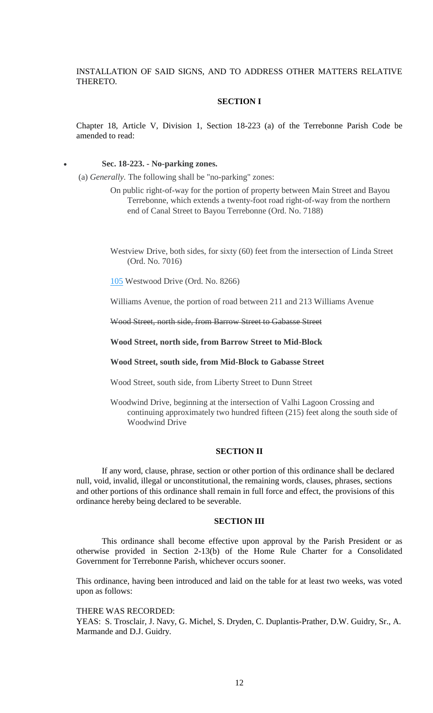INSTALLATION OF SAID SIGNS, AND TO ADDRESS OTHER MATTERS RELATIVE THERETO.

#### **SECTION I**

Chapter 18, Article V, Division 1, Section 18-223 (a) of the Terrebonne Parish Code be amended to read:

#### **Sec. 18-223. - No-parking zones.**

(a) *Generally.* The following shall be "no-parking" zones:

On public right-of-way for the portion of property between Main Street and Bayou Terrebonne, which extends a twenty-foot road right-of-way from the northern end of Canal Street to Bayou Terrebonne (Ord. No. 7188)

Westview Drive, both sides, for sixty (60) feet from the intersection of Linda Street (Ord. No. 7016)

[105](https://library.municode.com/la/terrebonne_parish/codes/code_of_ordinances?nodeId=PTIIPACO_CH6BUST_PTIIADCO_S105PE) Westwood Drive (Ord. No. 8266)

Williams Avenue, the portion of road between 211 and 213 Williams Avenue

Wood Street, north side, from Barrow Street to Gabasse Street

**Wood Street, north side, from Barrow Street to Mid-Block**

**Wood Street, south side, from Mid-Block to Gabasse Street**

Wood Street, south side, from Liberty Street to Dunn Street

Woodwind Drive, beginning at the intersection of Valhi Lagoon Crossing and continuing approximately two hundred fifteen (215) feet along the south side of Woodwind Drive

### **SECTION II**

If any word, clause, phrase, section or other portion of this ordinance shall be declared null, void, invalid, illegal or unconstitutional, the remaining words, clauses, phrases, sections and other portions of this ordinance shall remain in full force and effect, the provisions of this ordinance hereby being declared to be severable.

#### **SECTION III**

This ordinance shall become effective upon approval by the Parish President or as otherwise provided in Section 2-13(b) of the Home Rule Charter for a Consolidated Government for Terrebonne Parish, whichever occurs sooner.

This ordinance, having been introduced and laid on the table for at least two weeks, was voted upon as follows:

THERE WAS RECORDED:

YEAS: S. Trosclair, J. Navy, G. Michel, S. Dryden, C. Duplantis-Prather, D.W. Guidry, Sr., A. Marmande and D.J. Guidry.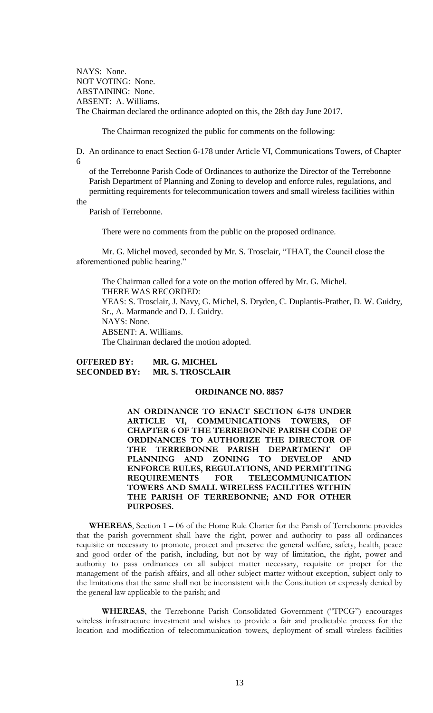NAYS: None. NOT VOTING: None. ABSTAINING: None. ABSENT: A. Williams. The Chairman declared the ordinance adopted on this, the 28th day June 2017.

The Chairman recognized the public for comments on the following:

D. An ordinance to enact Section 6-178 under Article VI, Communications Towers, of Chapter 6

 of the Terrebonne Parish Code of Ordinances to authorize the Director of the Terrebonne Parish Department of Planning and Zoning to develop and enforce rules, regulations, and permitting requirements for telecommunication towers and small wireless facilities within

the

Parish of Terrebonne.

There were no comments from the public on the proposed ordinance.

Mr. G. Michel moved, seconded by Mr. S. Trosclair, "THAT, the Council close the aforementioned public hearing."

The Chairman called for a vote on the motion offered by Mr. G. Michel. THERE WAS RECORDED: YEAS: S. Trosclair, J. Navy, G. Michel, S. Dryden, C. Duplantis-Prather, D. W. Guidry, Sr., A. Marmande and D. J. Guidry. NAYS: None. ABSENT: A. Williams. The Chairman declared the motion adopted.

**OFFERED BY: MR. G. MICHEL SECONDED BY: MR. S. TROSCLAIR**

#### **ORDINANCE NO. 8857**

**AN ORDINANCE TO ENACT SECTION 6-178 UNDER ARTICLE VI, COMMUNICATIONS TOWERS, OF CHAPTER 6 OF THE TERREBONNE PARISH CODE OF ORDINANCES TO AUTHORIZE THE DIRECTOR OF THE TERREBONNE PARISH DEPARTMENT OF PLANNING AND ZONING TO DEVELOP AND ENFORCE RULES, REGULATIONS, AND PERMITTING REQUIREMENTS FOR TELECOMMUNICATION TOWERS AND SMALL WIRELESS FACILITIES WITHIN THE PARISH OF TERREBONNE; AND FOR OTHER PURPOSES.**

**WHEREAS**, Section 1 – 06 of the Home Rule Charter for the Parish of Terrebonne provides that the parish government shall have the right, power and authority to pass all ordinances requisite or necessary to promote, protect and preserve the general welfare, safety, health, peace and good order of the parish, including, but not by way of limitation, the right, power and authority to pass ordinances on all subject matter necessary, requisite or proper for the management of the parish affairs, and all other subject matter without exception, subject only to the limitations that the same shall not be inconsistent with the Constitution or expressly denied by the general law applicable to the parish; and

**WHEREAS**, the Terrebonne Parish Consolidated Government ("TPCG") encourages wireless infrastructure investment and wishes to provide a fair and predictable process for the location and modification of telecommunication towers, deployment of small wireless facilities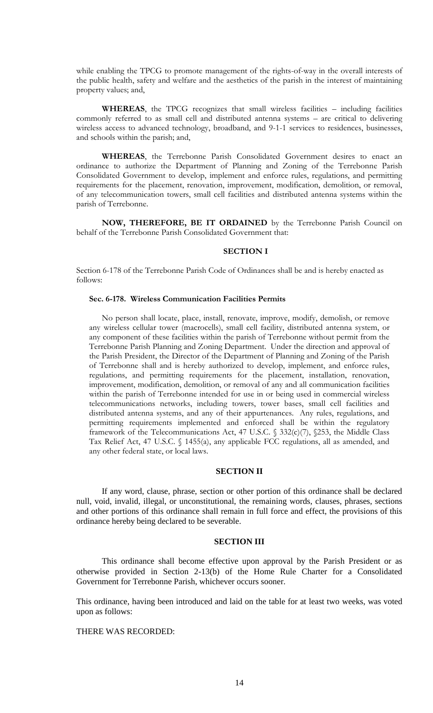while enabling the TPCG to promote management of the rights-of-way in the overall interests of the public health, safety and welfare and the aesthetics of the parish in the interest of maintaining property values; and,

**WHEREAS**, the TPCG recognizes that small wireless facilities – including facilities commonly referred to as small cell and distributed antenna systems – are critical to delivering wireless access to advanced technology, broadband, and 9-1-1 services to residences, businesses, and schools within the parish; and,

**WHEREAS**, the Terrebonne Parish Consolidated Government desires to enact an ordinance to authorize the Department of Planning and Zoning of the Terrebonne Parish Consolidated Government to develop, implement and enforce rules, regulations, and permitting requirements for the placement, renovation, improvement, modification, demolition, or removal, of any telecommunication towers, small cell facilities and distributed antenna systems within the parish of Terrebonne.

**NOW, THEREFORE, BE IT ORDAINED** by the Terrebonne Parish Council on behalf of the Terrebonne Parish Consolidated Government that:

## **SECTION I**

Section 6-178 of the Terrebonne Parish Code of Ordinances shall be and is hereby enacted as follows:

#### **Sec. 6-178. Wireless Communication Facilities Permits**

No person shall locate, place, install, renovate, improve, modify, demolish, or remove any wireless cellular tower (macrocells), small cell facility, distributed antenna system, or any component of these facilities within the parish of Terrebonne without permit from the Terrebonne Parish Planning and Zoning Department. Under the direction and approval of the Parish President, the Director of the Department of Planning and Zoning of the Parish of Terrebonne shall and is hereby authorized to develop, implement, and enforce rules, regulations, and permitting requirements for the placement, installation, renovation, improvement, modification, demolition, or removal of any and all communication facilities within the parish of Terrebonne intended for use in or being used in commercial wireless telecommunications networks, including towers, tower bases, small cell facilities and distributed antenna systems, and any of their appurtenances. Any rules, regulations, and permitting requirements implemented and enforced shall be within the regulatory framework of the Telecommunications Act, 47 U.S.C. § 332(c)(7), §253, the Middle Class Tax Relief Act, 47 U.S.C. § 1455(a), any applicable FCC regulations, all as amended, and any other federal state, or local laws.

### **SECTION II**

If any word, clause, phrase, section or other portion of this ordinance shall be declared null, void, invalid, illegal, or unconstitutional, the remaining words, clauses, phrases, sections and other portions of this ordinance shall remain in full force and effect, the provisions of this ordinance hereby being declared to be severable.

#### **SECTION III**

This ordinance shall become effective upon approval by the Parish President or as otherwise provided in Section 2-13(b) of the Home Rule Charter for a Consolidated Government for Terrebonne Parish, whichever occurs sooner.

This ordinance, having been introduced and laid on the table for at least two weeks, was voted upon as follows:

THERE WAS RECORDED: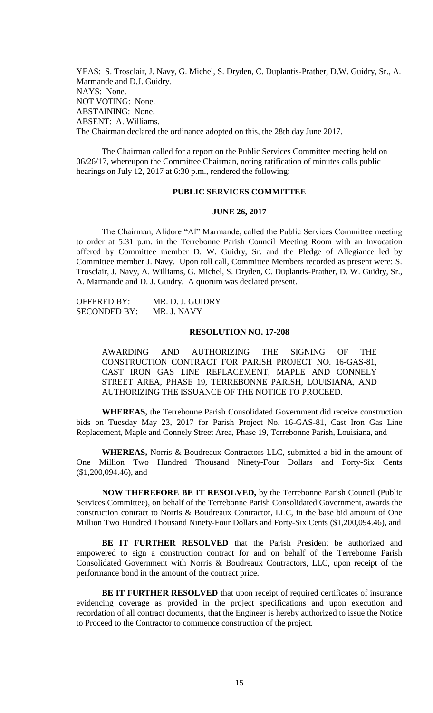YEAS: S. Trosclair, J. Navy, G. Michel, S. Dryden, C. Duplantis-Prather, D.W. Guidry, Sr., A. Marmande and D.J. Guidry. NAYS: None. NOT VOTING: None. ABSTAINING: None. ABSENT: A. Williams. The Chairman declared the ordinance adopted on this, the 28th day June 2017.

The Chairman called for a report on the Public Services Committee meeting held on 06/26/17, whereupon the Committee Chairman, noting ratification of minutes calls public hearings on July 12, 2017 at 6:30 p.m., rendered the following:

### **PUBLIC SERVICES COMMITTEE**

#### **JUNE 26, 2017**

The Chairman, Alidore "Al" Marmande, called the Public Services Committee meeting to order at 5:31 p.m. in the Terrebonne Parish Council Meeting Room with an Invocation offered by Committee member D. W. Guidry, Sr. and the Pledge of Allegiance led by Committee member J. Navy. Upon roll call, Committee Members recorded as present were: S. Trosclair, J. Navy, A. Williams, G. Michel, S. Dryden, C. Duplantis-Prather, D. W. Guidry, Sr., A. Marmande and D. J. Guidry. A quorum was declared present.

OFFERED BY: MR. D. J. GUIDRY SECONDED BY: MR. J. NAVY

## **RESOLUTION NO. 17-208**

AWARDING AND AUTHORIZING THE SIGNING OF THE CONSTRUCTION CONTRACT FOR PARISH PROJECT NO. 16-GAS-81, CAST IRON GAS LINE REPLACEMENT, MAPLE AND CONNELY STREET AREA, PHASE 19, TERREBONNE PARISH, LOUISIANA, AND AUTHORIZING THE ISSUANCE OF THE NOTICE TO PROCEED.

**WHEREAS,** the Terrebonne Parish Consolidated Government did receive construction bids on Tuesday May 23, 2017 for Parish Project No. 16-GAS-81, Cast Iron Gas Line Replacement, Maple and Connely Street Area, Phase 19, Terrebonne Parish, Louisiana, and

**WHEREAS,** Norris & Boudreaux Contractors LLC, submitted a bid in the amount of One Million Two Hundred Thousand Ninety-Four Dollars and Forty-Six Cents (\$1,200,094.46), and

**NOW THEREFORE BE IT RESOLVED,** by the Terrebonne Parish Council (Public Services Committee), on behalf of the Terrebonne Parish Consolidated Government, awards the construction contract to Norris & Boudreaux Contractor, LLC, in the base bid amount of One Million Two Hundred Thousand Ninety-Four Dollars and Forty-Six Cents (\$1,200,094.46), and

BE IT FURTHER RESOLVED that the Parish President be authorized and empowered to sign a construction contract for and on behalf of the Terrebonne Parish Consolidated Government with Norris & Boudreaux Contractors, LLC, upon receipt of the performance bond in the amount of the contract price.

**BE IT FURTHER RESOLVED** that upon receipt of required certificates of insurance evidencing coverage as provided in the project specifications and upon execution and recordation of all contract documents, that the Engineer is hereby authorized to issue the Notice to Proceed to the Contractor to commence construction of the project.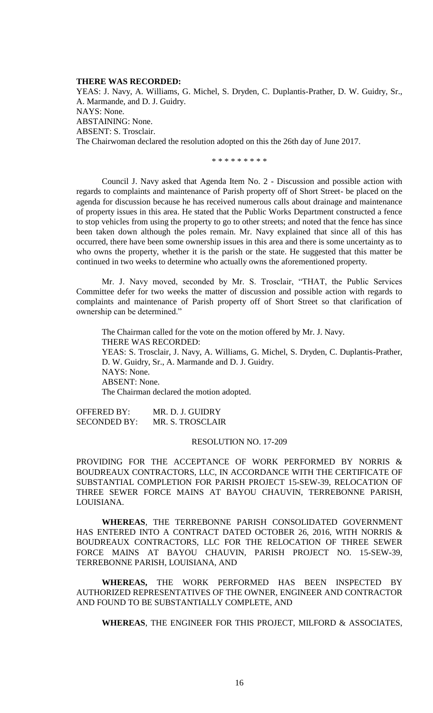#### **THERE WAS RECORDED:**

YEAS: J. Navy, A. Williams, G. Michel, S. Dryden, C. Duplantis-Prather, D. W. Guidry, Sr., A. Marmande, and D. J. Guidry. NAYS: None. ABSTAINING: None. ABSENT: S. Trosclair. The Chairwoman declared the resolution adopted on this the 26th day of June 2017.

\* \* \* \* \* \* \* \* \*

Council J. Navy asked that Agenda Item No. 2 - Discussion and possible action with regards to complaints and maintenance of Parish property off of Short Street- be placed on the agenda for discussion because he has received numerous calls about drainage and maintenance of property issues in this area. He stated that the Public Works Department constructed a fence to stop vehicles from using the property to go to other streets; and noted that the fence has since been taken down although the poles remain. Mr. Navy explained that since all of this has occurred, there have been some ownership issues in this area and there is some uncertainty as to who owns the property, whether it is the parish or the state. He suggested that this matter be continued in two weeks to determine who actually owns the aforementioned property.

Mr. J. Navy moved, seconded by Mr. S. Trosclair, "THAT, the Public Services Committee defer for two weeks the matter of discussion and possible action with regards to complaints and maintenance of Parish property off of Short Street so that clarification of ownership can be determined."

The Chairman called for the vote on the motion offered by Mr. J. Navy. THERE WAS RECORDED: YEAS: S. Trosclair, J. Navy, A. Williams, G. Michel, S. Dryden, C. Duplantis-Prather, D. W. Guidry, Sr., A. Marmande and D. J. Guidry. NAYS: None. ABSENT: None. The Chairman declared the motion adopted.

OFFERED BY: MR. D. J. GUIDRY SECONDED BY: MR. S. TROSCLAIR

#### RESOLUTION NO. 17-209

PROVIDING FOR THE ACCEPTANCE OF WORK PERFORMED BY NORRIS & BOUDREAUX CONTRACTORS, LLC, IN ACCORDANCE WITH THE CERTIFICATE OF SUBSTANTIAL COMPLETION FOR PARISH PROJECT 15-SEW-39, RELOCATION OF THREE SEWER FORCE MAINS AT BAYOU CHAUVIN, TERREBONNE PARISH, LOUISIANA.

**WHEREAS**, THE TERREBONNE PARISH CONSOLIDATED GOVERNMENT HAS ENTERED INTO A CONTRACT DATED OCTOBER 26, 2016, WITH NORRIS & BOUDREAUX CONTRACTORS, LLC FOR THE RELOCATION OF THREE SEWER FORCE MAINS AT BAYOU CHAUVIN, PARISH PROJECT NO. 15-SEW-39, TERREBONNE PARISH, LOUISIANA, AND

**WHEREAS,** THE WORK PERFORMED HAS BEEN INSPECTED BY AUTHORIZED REPRESENTATIVES OF THE OWNER, ENGINEER AND CONTRACTOR AND FOUND TO BE SUBSTANTIALLY COMPLETE, AND

**WHEREAS**, THE ENGINEER FOR THIS PROJECT, MILFORD & ASSOCIATES,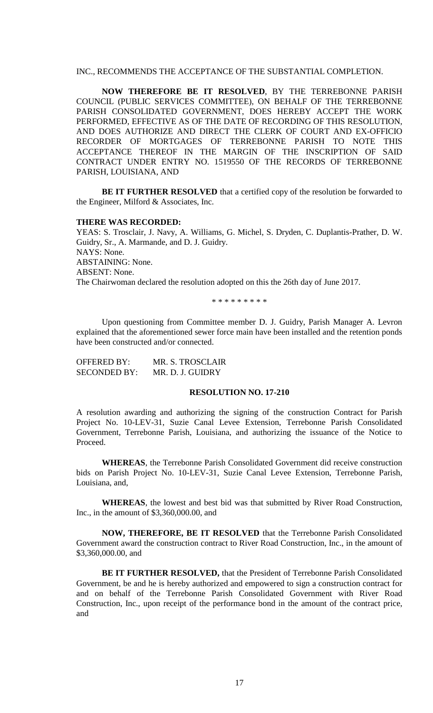INC., RECOMMENDS THE ACCEPTANCE OF THE SUBSTANTIAL COMPLETION.

**NOW THEREFORE BE IT RESOLVED**, BY THE TERREBONNE PARISH COUNCIL (PUBLIC SERVICES COMMITTEE), ON BEHALF OF THE TERREBONNE PARISH CONSOLIDATED GOVERNMENT, DOES HEREBY ACCEPT THE WORK PERFORMED, EFFECTIVE AS OF THE DATE OF RECORDING OF THIS RESOLUTION, AND DOES AUTHORIZE AND DIRECT THE CLERK OF COURT AND EX-OFFICIO RECORDER OF MORTGAGES OF TERREBONNE PARISH TO NOTE THIS ACCEPTANCE THEREOF IN THE MARGIN OF THE INSCRIPTION OF SAID CONTRACT UNDER ENTRY NO. 1519550 OF THE RECORDS OF TERREBONNE PARISH, LOUISIANA, AND

**BE IT FURTHER RESOLVED** that a certified copy of the resolution be forwarded to the Engineer, Milford & Associates, Inc.

#### **THERE WAS RECORDED:**

YEAS: S. Trosclair, J. Navy, A. Williams, G. Michel, S. Dryden, C. Duplantis-Prather, D. W. Guidry, Sr., A. Marmande, and D. J. Guidry. NAYS: None. ABSTAINING: None. ABSENT: None. The Chairwoman declared the resolution adopted on this the 26th day of June 2017.

\* \* \* \* \* \* \* \* \*

Upon questioning from Committee member D. J. Guidry, Parish Manager A. Levron explained that the aforementioned sewer force main have been installed and the retention ponds have been constructed and/or connected.

| OFFERED BY:         | MR. S. TROSCLAIR |
|---------------------|------------------|
| <b>SECONDED BY:</b> | MR. D. J. GUIDRY |

### **RESOLUTION NO. 17-210**

A resolution awarding and authorizing the signing of the construction Contract for Parish Project No. 10-LEV-31, Suzie Canal Levee Extension, Terrebonne Parish Consolidated Government, Terrebonne Parish, Louisiana, and authorizing the issuance of the Notice to Proceed.

**WHEREAS**, the Terrebonne Parish Consolidated Government did receive construction bids on Parish Project No. 10-LEV-31, Suzie Canal Levee Extension, Terrebonne Parish, Louisiana, and,

**WHEREAS**, the lowest and best bid was that submitted by River Road Construction, Inc., in the amount of \$3,360,000.00, and

**NOW, THEREFORE, BE IT RESOLVED** that the Terrebonne Parish Consolidated Government award the construction contract to River Road Construction, Inc., in the amount of \$3,360,000.00, and

**BE IT FURTHER RESOLVED,** that the President of Terrebonne Parish Consolidated Government, be and he is hereby authorized and empowered to sign a construction contract for and on behalf of the Terrebonne Parish Consolidated Government with River Road Construction, Inc., upon receipt of the performance bond in the amount of the contract price, and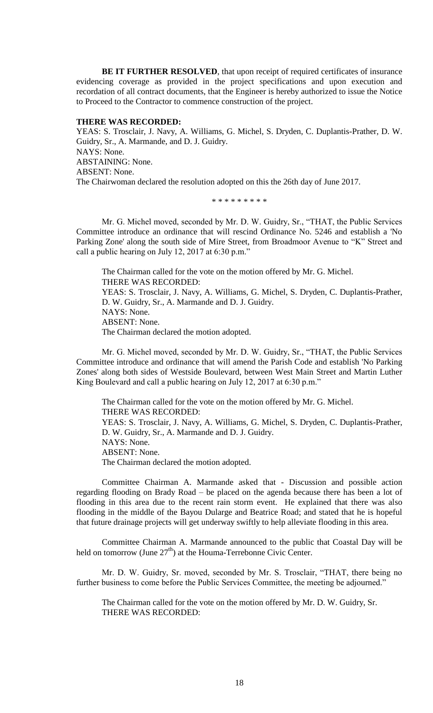**BE IT FURTHER RESOLVED**, that upon receipt of required certificates of insurance evidencing coverage as provided in the project specifications and upon execution and recordation of all contract documents, that the Engineer is hereby authorized to issue the Notice to Proceed to the Contractor to commence construction of the project.

## **THERE WAS RECORDED:**

YEAS: S. Trosclair, J. Navy, A. Williams, G. Michel, S. Dryden, C. Duplantis-Prather, D. W. Guidry, Sr., A. Marmande, and D. J. Guidry. NAYS: None. ABSTAINING: None. ABSENT: None. The Chairwoman declared the resolution adopted on this the 26th day of June 2017.

\* \* \* \* \* \* \* \* \*

Mr. G. Michel moved, seconded by Mr. D. W. Guidry, Sr., "THAT, the Public Services Committee introduce an ordinance that will rescind Ordinance No. 5246 and establish a 'No Parking Zone' along the south side of Mire Street, from Broadmoor Avenue to "K" Street and call a public hearing on July 12, 2017 at 6:30 p.m."

The Chairman called for the vote on the motion offered by Mr. G. Michel. THERE WAS RECORDED: YEAS: S. Trosclair, J. Navy, A. Williams, G. Michel, S. Dryden, C. Duplantis-Prather, D. W. Guidry, Sr., A. Marmande and D. J. Guidry. NAYS: None. ABSENT: None. The Chairman declared the motion adopted.

Mr. G. Michel moved, seconded by Mr. D. W. Guidry, Sr., "THAT, the Public Services Committee introduce and ordinance that will amend the Parish Code and establish 'No Parking Zones' along both sides of Westside Boulevard, between West Main Street and Martin Luther King Boulevard and call a public hearing on July 12, 2017 at 6:30 p.m."

The Chairman called for the vote on the motion offered by Mr. G. Michel. THERE WAS RECORDED: YEAS: S. Trosclair, J. Navy, A. Williams, G. Michel, S. Dryden, C. Duplantis-Prather, D. W. Guidry, Sr., A. Marmande and D. J. Guidry. NAYS: None. ABSENT: None. The Chairman declared the motion adopted.

Committee Chairman A. Marmande asked that - Discussion and possible action regarding flooding on Brady Road – be placed on the agenda because there has been a lot of flooding in this area due to the recent rain storm event. He explained that there was also flooding in the middle of the Bayou Dularge and Beatrice Road; and stated that he is hopeful that future drainage projects will get underway swiftly to help alleviate flooding in this area.

Committee Chairman A. Marmande announced to the public that Coastal Day will be held on tomorrow (June  $27<sup>th</sup>$ ) at the Houma-Terrebonne Civic Center.

Mr. D. W. Guidry, Sr. moved, seconded by Mr. S. Trosclair, "THAT, there being no further business to come before the Public Services Committee, the meeting be adjourned."

The Chairman called for the vote on the motion offered by Mr. D. W. Guidry, Sr. THERE WAS RECORDED: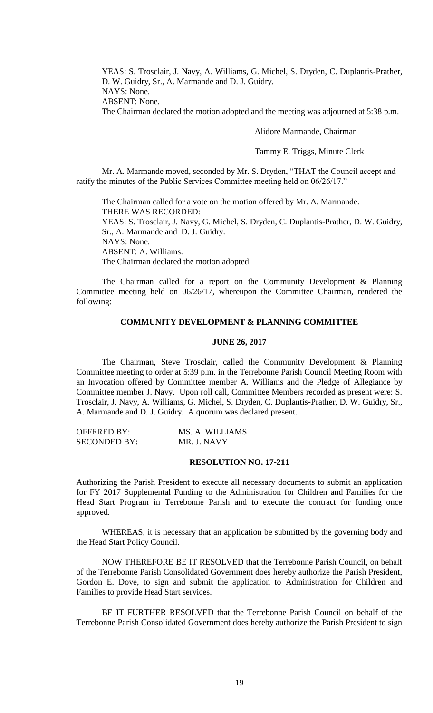YEAS: S. Trosclair, J. Navy, A. Williams, G. Michel, S. Dryden, C. Duplantis-Prather, D. W. Guidry, Sr., A. Marmande and D. J. Guidry. NAYS: None. ABSENT: None.

The Chairman declared the motion adopted and the meeting was adjourned at 5:38 p.m.

Alidore Marmande, Chairman

Tammy E. Triggs, Minute Clerk

Mr. A. Marmande moved, seconded by Mr. S. Dryden, "THAT the Council accept and ratify the minutes of the Public Services Committee meeting held on 06/26/17."

The Chairman called for a vote on the motion offered by Mr. A. Marmande. THERE WAS RECORDED: YEAS: S. Trosclair, J. Navy, G. Michel, S. Dryden, C. Duplantis-Prather, D. W. Guidry, Sr., A. Marmande and D. J. Guidry. NAYS: None. ABSENT: A. Williams. The Chairman declared the motion adopted.

The Chairman called for a report on the Community Development & Planning Committee meeting held on 06/26/17, whereupon the Committee Chairman, rendered the following:

## **COMMUNITY DEVELOPMENT & PLANNING COMMITTEE**

## **JUNE 26, 2017**

The Chairman, Steve Trosclair, called the Community Development & Planning Committee meeting to order at 5:39 p.m. in the Terrebonne Parish Council Meeting Room with an Invocation offered by Committee member A. Williams and the Pledge of Allegiance by Committee member J. Navy. Upon roll call, Committee Members recorded as present were: S. Trosclair, J. Navy, A. Williams, G. Michel, S. Dryden, C. Duplantis-Prather, D. W. Guidry, Sr., A. Marmande and D. J. Guidry. A quorum was declared present.

| <b>OFFERED BY:</b>  | MS. A. WILLIAMS |
|---------------------|-----------------|
| <b>SECONDED BY:</b> | MR. J. NAVY     |

## **RESOLUTION NO. 17-211**

Authorizing the Parish President to execute all necessary documents to submit an application for FY 2017 Supplemental Funding to the Administration for Children and Families for the Head Start Program in Terrebonne Parish and to execute the contract for funding once approved.

WHEREAS, it is necessary that an application be submitted by the governing body and the Head Start Policy Council.

NOW THEREFORE BE IT RESOLVED that the Terrebonne Parish Council, on behalf of the Terrebonne Parish Consolidated Government does hereby authorize the Parish President, Gordon E. Dove, to sign and submit the application to Administration for Children and Families to provide Head Start services.

BE IT FURTHER RESOLVED that the Terrebonne Parish Council on behalf of the Terrebonne Parish Consolidated Government does hereby authorize the Parish President to sign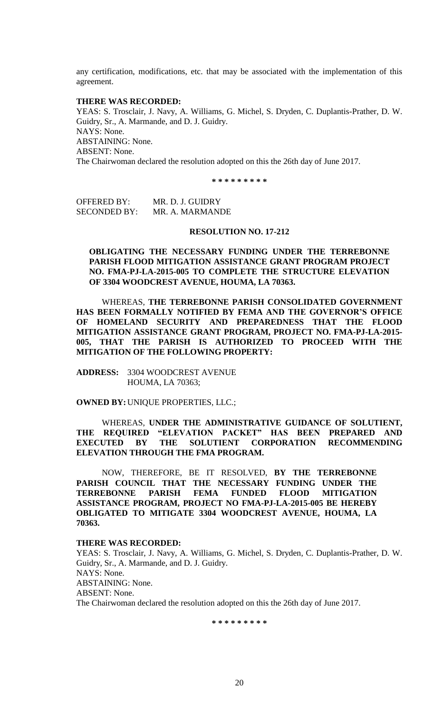any certification, modifications, etc. that may be associated with the implementation of this agreement.

### **THERE WAS RECORDED:**

YEAS: S. Trosclair, J. Navy, A. Williams, G. Michel, S. Dryden, C. Duplantis-Prather, D. W. Guidry, Sr., A. Marmande, and D. J. Guidry. NAYS: None. ABSTAINING: None. ABSENT: None. The Chairwoman declared the resolution adopted on this the 26th day of June 2017.

**\* \* \* \* \* \* \* \* \***

OFFERED BY: MR. D. J. GUIDRY SECONDED BY: MR. A. MARMANDE

## **RESOLUTION NO. 17-212**

**OBLIGATING THE NECESSARY FUNDING UNDER THE TERREBONNE PARISH FLOOD MITIGATION ASSISTANCE GRANT PROGRAM PROJECT NO. FMA-PJ-LA-2015-005 TO COMPLETE THE STRUCTURE ELEVATION OF 3304 WOODCREST AVENUE, HOUMA, LA 70363.**

WHEREAS, **THE TERREBONNE PARISH CONSOLIDATED GOVERNMENT HAS BEEN FORMALLY NOTIFIED BY FEMA AND THE GOVERNOR'S OFFICE OF HOMELAND SECURITY AND PREPAREDNESS THAT THE FLOOD MITIGATION ASSISTANCE GRANT PROGRAM, PROJECT NO. FMA-PJ-LA-2015- 005, THAT THE PARISH IS AUTHORIZED TO PROCEED WITH THE MITIGATION OF THE FOLLOWING PROPERTY:**

**ADDRESS:** 3304 WOODCREST AVENUE HOUMA, LA 70363;

**OWNED BY:**UNIQUE PROPERTIES, LLC.;

WHEREAS, **UNDER THE ADMINISTRATIVE GUIDANCE OF SOLUTIENT, THE REQUIRED "ELEVATION PACKET" HAS BEEN PREPARED AND EXECUTED BY THE SOLUTIENT CORPORATION RECOMMENDING ELEVATION THROUGH THE FMA PROGRAM.**

NOW, THEREFORE, BE IT RESOLVED, **BY THE TERREBONNE PARISH COUNCIL THAT THE NECESSARY FUNDING UNDER THE TERREBONNE PARISH FEMA FUNDED FLOOD MITIGATION ASSISTANCE PROGRAM, PROJECT NO FMA-PJ-LA-2015-005 BE HEREBY OBLIGATED TO MITIGATE 3304 WOODCREST AVENUE, HOUMA, LA 70363.**

## **THERE WAS RECORDED:**

YEAS: S. Trosclair, J. Navy, A. Williams, G. Michel, S. Dryden, C. Duplantis-Prather, D. W. Guidry, Sr., A. Marmande, and D. J. Guidry. NAYS: None. ABSTAINING: None. ABSENT: None. The Chairwoman declared the resolution adopted on this the 26th day of June 2017.

**\* \* \* \* \* \* \* \* \***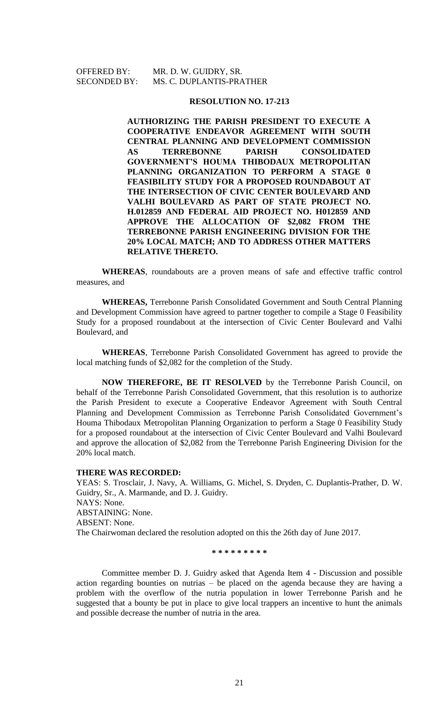OFFERED BY: MR. D. W. GUIDRY, SR. SECONDED BY: MS. C. DUPLANTIS-PRATHER

#### **RESOLUTION NO. 17-213**

**AUTHORIZING THE PARISH PRESIDENT TO EXECUTE A COOPERATIVE ENDEAVOR AGREEMENT WITH SOUTH CENTRAL PLANNING AND DEVELOPMENT COMMISSION AS TERREBONNE PARISH CONSOLIDATED GOVERNMENT'S HOUMA THIBODAUX METROPOLITAN PLANNING ORGANIZATION TO PERFORM A STAGE 0 FEASIBILITY STUDY FOR A PROPOSED ROUNDABOUT AT THE INTERSECTION OF CIVIC CENTER BOULEVARD AND VALHI BOULEVARD AS PART OF STATE PROJECT NO. H.012859 AND FEDERAL AID PROJECT NO. H012859 AND APPROVE THE ALLOCATION OF \$2,082 FROM THE TERREBONNE PARISH ENGINEERING DIVISION FOR THE 20% LOCAL MATCH; AND TO ADDRESS OTHER MATTERS RELATIVE THERETO.**

**WHEREAS**, roundabouts are a proven means of safe and effective traffic control measures, and

**WHEREAS,** Terrebonne Parish Consolidated Government and South Central Planning and Development Commission have agreed to partner together to compile a Stage 0 Feasibility Study for a proposed roundabout at the intersection of Civic Center Boulevard and Valhi Boulevard, and

**WHEREAS**, Terrebonne Parish Consolidated Government has agreed to provide the local matching funds of \$2,082 for the completion of the Study.

**NOW THEREFORE, BE IT RESOLVED** by the Terrebonne Parish Council, on behalf of the Terrebonne Parish Consolidated Government, that this resolution is to authorize the Parish President to execute a Cooperative Endeavor Agreement with South Central Planning and Development Commission as Terrebonne Parish Consolidated Government's Houma Thibodaux Metropolitan Planning Organization to perform a Stage 0 Feasibility Study for a proposed roundabout at the intersection of Civic Center Boulevard and Valhi Boulevard and approve the allocation of \$2,082 from the Terrebonne Parish Engineering Division for the 20% local match.

#### **THERE WAS RECORDED:**

YEAS: S. Trosclair, J. Navy, A. Williams, G. Michel, S. Dryden, C. Duplantis-Prather, D. W. Guidry, Sr., A. Marmande, and D. J. Guidry. NAYS: None. ABSTAINING: None. ABSENT: None. The Chairwoman declared the resolution adopted on this the 26th day of June 2017.

**\* \* \* \* \* \* \* \* \***

Committee member D. J. Guidry asked that Agenda Item 4 - Discussion and possible action regarding bounties on nutrias – be placed on the agenda because they are having a problem with the overflow of the nutria population in lower Terrebonne Parish and he suggested that a bounty be put in place to give local trappers an incentive to hunt the animals and possible decrease the number of nutria in the area.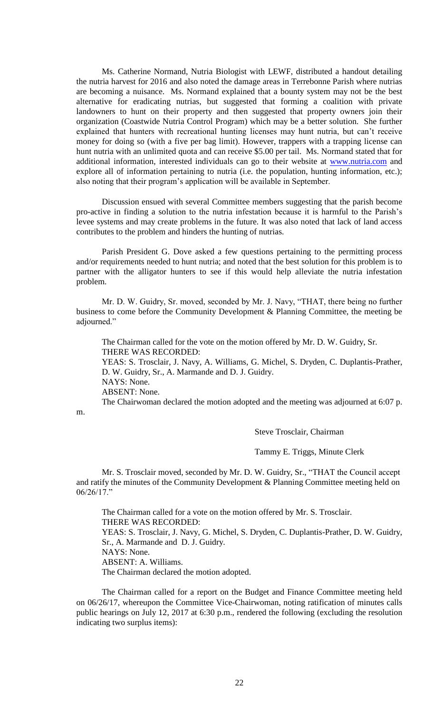Ms. Catherine Normand, Nutria Biologist with LEWF, distributed a handout detailing the nutria harvest for 2016 and also noted the damage areas in Terrebonne Parish where nutrias are becoming a nuisance. Ms. Normand explained that a bounty system may not be the best alternative for eradicating nutrias, but suggested that forming a coalition with private landowners to hunt on their property and then suggested that property owners join their organization (Coastwide Nutria Control Program) which may be a better solution. She further explained that hunters with recreational hunting licenses may hunt nutria, but can't receive money for doing so (with a five per bag limit). However, trappers with a trapping license can hunt nutria with an unlimited quota and can receive \$5.00 per tail. Ms. Normand stated that for additional information, interested individuals can go to their website at [www.nutria.com](http://www.nutria.com/) and explore all of information pertaining to nutria (i.e. the population, hunting information, etc.); also noting that their program's application will be available in September.

Discussion ensued with several Committee members suggesting that the parish become pro-active in finding a solution to the nutria infestation because it is harmful to the Parish's levee systems and may create problems in the future. It was also noted that lack of land access contributes to the problem and hinders the hunting of nutrias.

Parish President G. Dove asked a few questions pertaining to the permitting process and/or requirements needed to hunt nutria; and noted that the best solution for this problem is to partner with the alligator hunters to see if this would help alleviate the nutria infestation problem.

Mr. D. W. Guidry, Sr. moved, seconded by Mr. J. Navy, "THAT, there being no further business to come before the Community Development & Planning Committee, the meeting be adjourned."

The Chairman called for the vote on the motion offered by Mr. D. W. Guidry, Sr. THERE WAS RECORDED: YEAS: S. Trosclair, J. Navy, A. Williams, G. Michel, S. Dryden, C. Duplantis-Prather, D. W. Guidry, Sr., A. Marmande and D. J. Guidry. NAYS: None. ABSENT: None. The Chairwoman declared the motion adopted and the meeting was adjourned at 6:07 p.

m.

Steve Trosclair, Chairman

Tammy E. Triggs, Minute Clerk

Mr. S. Trosclair moved, seconded by Mr. D. W. Guidry, Sr., "THAT the Council accept and ratify the minutes of the Community Development & Planning Committee meeting held on 06/26/17."

The Chairman called for a vote on the motion offered by Mr. S. Trosclair. THERE WAS RECORDED: YEAS: S. Trosclair, J. Navy, G. Michel, S. Dryden, C. Duplantis-Prather, D. W. Guidry, Sr., A. Marmande and D. J. Guidry. NAYS: None. ABSENT: A. Williams. The Chairman declared the motion adopted.

The Chairman called for a report on the Budget and Finance Committee meeting held on 06/26/17, whereupon the Committee Vice-Chairwoman, noting ratification of minutes calls public hearings on July 12, 2017 at 6:30 p.m., rendered the following (excluding the resolution indicating two surplus items):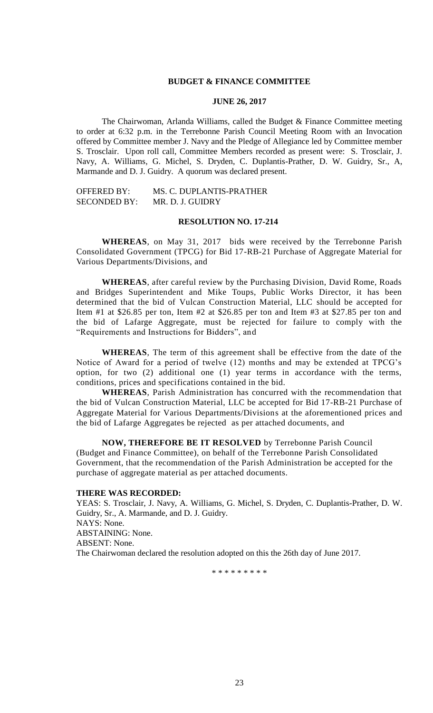## **BUDGET & FINANCE COMMITTEE**

#### **JUNE 26, 2017**

The Chairwoman, Arlanda Williams, called the Budget & Finance Committee meeting to order at 6:32 p.m. in the Terrebonne Parish Council Meeting Room with an Invocation offered by Committee member J. Navy and the Pledge of Allegiance led by Committee member S. Trosclair. Upon roll call, Committee Members recorded as present were: S. Trosclair, J. Navy, A. Williams, G. Michel, S. Dryden, C. Duplantis-Prather, D. W. Guidry, Sr., A, Marmande and D. J. Guidry. A quorum was declared present.

OFFERED BY: MS. C. DUPLANTIS-PRATHER SECONDED BY: MR. D. J. GUIDRY

## **RESOLUTION NO. 17-214**

**WHEREAS**, on May 31, 2017 bids were received by the Terrebonne Parish Consolidated Government (TPCG) for Bid 17-RB-21 Purchase of Aggregate Material for Various Departments/Divisions, and

**WHEREAS**, after careful review by the Purchasing Division, David Rome, Roads and Bridges Superintendent and Mike Toups, Public Works Director, it has been determined that the bid of Vulcan Construction Material, LLC should be accepted for Item #1 at \$26.85 per ton, Item #2 at \$26.85 per ton and Item #3 at \$27.85 per ton and the bid of Lafarge Aggregate, must be rejected for failure to comply with the "Requirements and Instructions for Bidders", and

**WHEREAS**, The term of this agreement shall be effective from the date of the Notice of Award for a period of twelve (12) months and may be extended at TPCG's option, for two (2) additional one (1) year terms in accordance with the terms, conditions, prices and specifications contained in the bid.

**WHEREAS**, Parish Administration has concurred with the recommendation that the bid of Vulcan Construction Material, LLC be accepted for Bid 17-RB-21 Purchase of Aggregate Material for Various Departments/Divisions at the aforementioned prices and the bid of Lafarge Aggregates be rejected as per attached documents, and

**NOW, THEREFORE BE IT RESOLVED** by Terrebonne Parish Council (Budget and Finance Committee), on behalf of the Terrebonne Parish Consolidated Government, that the recommendation of the Parish Administration be accepted for the purchase of aggregate material as per attached documents.

## **THERE WAS RECORDED:**

YEAS: S. Trosclair, J. Navy, A. Williams, G. Michel, S. Dryden, C. Duplantis-Prather, D. W. Guidry, Sr., A. Marmande, and D. J. Guidry. NAYS: None. ABSTAINING: None. ABSENT: None. The Chairwoman declared the resolution adopted on this the 26th day of June 2017.

\* \* \* \* \* \* \* \* \*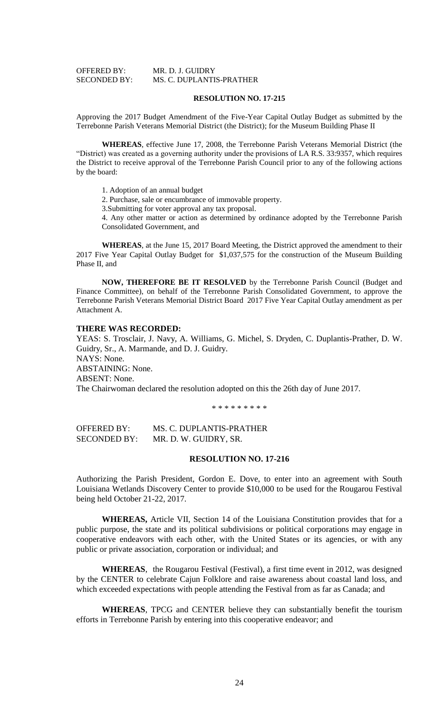| <b>OFFERED BY:</b>  | MR. D. J. GUIDRY         |
|---------------------|--------------------------|
| <b>SECONDED BY:</b> | MS. C. DUPLANTIS-PRATHER |

#### **RESOLUTION NO. 17-215**

Approving the 2017 Budget Amendment of the Five-Year Capital Outlay Budget as submitted by the Terrebonne Parish Veterans Memorial District (the District); for the Museum Building Phase II

**WHEREAS**, effective June 17, 2008, the Terrebonne Parish Veterans Memorial District (the "District) was created as a governing authority under the provisions of LA R.S. 33:9357, which requires the District to receive approval of the Terrebonne Parish Council prior to any of the following actions by the board:

1. Adoption of an annual budget

2. Purchase, sale or encumbrance of immovable property.

3.Submitting for voter approval any tax proposal.

4. Any other matter or action as determined by ordinance adopted by the Terrebonne Parish Consolidated Government, and

**WHEREAS**, at the June 15, 2017 Board Meeting, the District approved the amendment to their 2017 Five Year Capital Outlay Budget for \$1,037,575 for the construction of the Museum Building Phase II, and

**NOW, THEREFORE BE IT RESOLVED** by the Terrebonne Parish Council (Budget and Finance Committee), on behalf of the Terrebonne Parish Consolidated Government, to approve the Terrebonne Parish Veterans Memorial District Board 2017 Five Year Capital Outlay amendment as per Attachment A.

### **THERE WAS RECORDED:**

YEAS: S. Trosclair, J. Navy, A. Williams, G. Michel, S. Dryden, C. Duplantis-Prather, D. W. Guidry, Sr., A. Marmande, and D. J. Guidry. NAYS: None. ABSTAINING: None. ABSENT: None. The Chairwoman declared the resolution adopted on this the 26th day of June 2017.

\* \* \* \* \* \* \* \* \*

OFFERED BY: MS. C. DUPLANTIS-PRATHER SECONDED BY: MR. D. W. GUIDRY, SR.

#### **RESOLUTION NO. 17-216**

Authorizing the Parish President, Gordon E. Dove, to enter into an agreement with South Louisiana Wetlands Discovery Center to provide \$10,000 to be used for the Rougarou Festival being held October 21-22, 2017.

**WHEREAS,** Article VII, Section 14 of the Louisiana Constitution provides that for a public purpose, the state and its political subdivisions or political corporations may engage in cooperative endeavors with each other, with the United States or its agencies, or with any public or private association, corporation or individual; and

**WHEREAS**, the Rougarou Festival (Festival), a first time event in 2012, was designed by the CENTER to celebrate Cajun Folklore and raise awareness about coastal land loss, and which exceeded expectations with people attending the Festival from as far as Canada; and

**WHEREAS**, TPCG and CENTER believe they can substantially benefit the tourism efforts in Terrebonne Parish by entering into this cooperative endeavor; and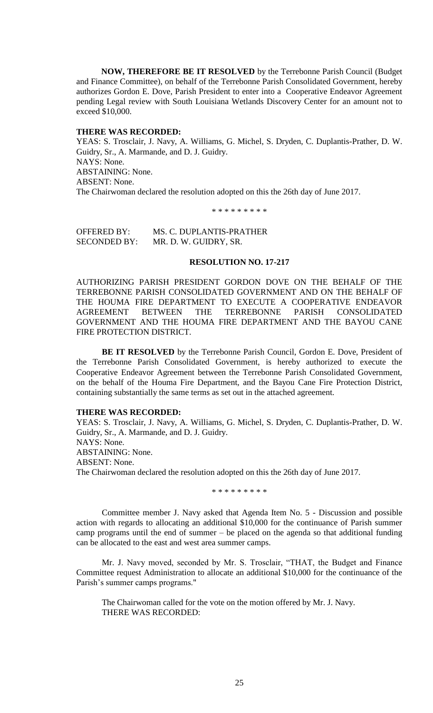**NOW, THEREFORE BE IT RESOLVED** by the Terrebonne Parish Council (Budget and Finance Committee), on behalf of the Terrebonne Parish Consolidated Government, hereby authorizes Gordon E. Dove, Parish President to enter into a Cooperative Endeavor Agreement pending Legal review with South Louisiana Wetlands Discovery Center for an amount not to exceed \$10,000.

## **THERE WAS RECORDED:**

YEAS: S. Trosclair, J. Navy, A. Williams, G. Michel, S. Dryden, C. Duplantis-Prather, D. W. Guidry, Sr., A. Marmande, and D. J. Guidry. NAYS: None. ABSTAINING: None. ABSENT: None. The Chairwoman declared the resolution adopted on this the 26th day of June 2017.

\* \* \* \* \* \* \* \* \*

OFFERED BY: MS. C. DUPLANTIS-PRATHER SECONDED BY: MR. D. W. GUIDRY, SR.

## **RESOLUTION NO. 17-217**

AUTHORIZING PARISH PRESIDENT GORDON DOVE ON THE BEHALF OF THE TERREBONNE PARISH CONSOLIDATED GOVERNMENT AND ON THE BEHALF OF THE HOUMA FIRE DEPARTMENT TO EXECUTE A COOPERATIVE ENDEAVOR AGREEMENT BETWEEN THE TERREBONNE PARISH CONSOLIDATED GOVERNMENT AND THE HOUMA FIRE DEPARTMENT AND THE BAYOU CANE FIRE PROTECTION DISTRICT.

**BE IT RESOLVED** by the Terrebonne Parish Council, Gordon E. Dove, President of the Terrebonne Parish Consolidated Government, is hereby authorized to execute the Cooperative Endeavor Agreement between the Terrebonne Parish Consolidated Government, on the behalf of the Houma Fire Department, and the Bayou Cane Fire Protection District, containing substantially the same terms as set out in the attached agreement.

## **THERE WAS RECORDED:**

YEAS: S. Trosclair, J. Navy, A. Williams, G. Michel, S. Dryden, C. Duplantis-Prather, D. W. Guidry, Sr., A. Marmande, and D. J. Guidry. NAYS: None. ABSTAINING: None. ABSENT: None. The Chairwoman declared the resolution adopted on this the 26th day of June 2017.

\* \* \* \* \* \* \* \* \*

Committee member J. Navy asked that Agenda Item No. 5 - Discussion and possible action with regards to allocating an additional \$10,000 for the continuance of Parish summer camp programs until the end of summer – be placed on the agenda so that additional funding can be allocated to the east and west area summer camps.

Mr. J. Navy moved, seconded by Mr. S. Trosclair, "THAT, the Budget and Finance Committee request Administration to allocate an additional \$10,000 for the continuance of the Parish's summer camps programs."

The Chairwoman called for the vote on the motion offered by Mr. J. Navy. THERE WAS RECORDED: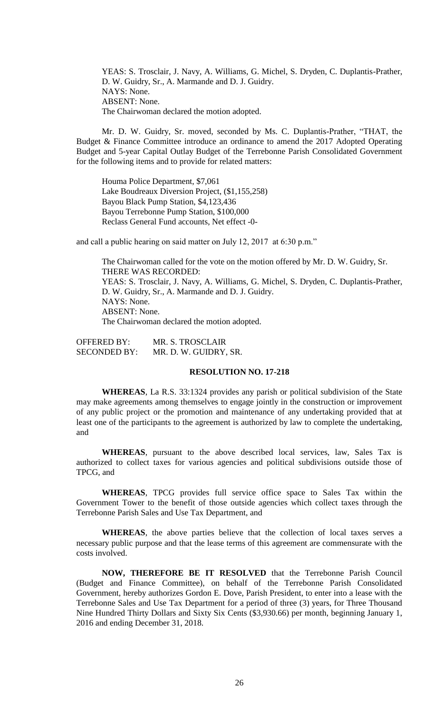YEAS: S. Trosclair, J. Navy, A. Williams, G. Michel, S. Dryden, C. Duplantis-Prather, D. W. Guidry, Sr., A. Marmande and D. J. Guidry. NAYS: None. ABSENT: None. The Chairwoman declared the motion adopted.

Mr. D. W. Guidry, Sr. moved, seconded by Ms. C. Duplantis-Prather, "THAT, the Budget & Finance Committee introduce an ordinance to amend the 2017 Adopted Operating Budget and 5-year Capital Outlay Budget of the Terrebonne Parish Consolidated Government for the following items and to provide for related matters:

Houma Police Department, \$7,061 Lake Boudreaux Diversion Project, (\$1,155,258) Bayou Black Pump Station, \$4,123,436 Bayou Terrebonne Pump Station, \$100,000 Reclass General Fund accounts, Net effect -0-

and call a public hearing on said matter on July 12, 2017 at 6:30 p.m."

The Chairwoman called for the vote on the motion offered by Mr. D. W. Guidry, Sr. THERE WAS RECORDED: YEAS: S. Trosclair, J. Navy, A. Williams, G. Michel, S. Dryden, C. Duplantis-Prather, D. W. Guidry, Sr., A. Marmande and D. J. Guidry. NAYS: None. ABSENT: None. The Chairwoman declared the motion adopted.

OFFERED BY: MR. S. TROSCLAIR SECONDED BY: MR. D. W. GUIDRY, SR.

## **RESOLUTION NO. 17-218**

**WHEREAS**, La R.S. 33:1324 provides any parish or political subdivision of the State may make agreements among themselves to engage jointly in the construction or improvement of any public project or the promotion and maintenance of any undertaking provided that at least one of the participants to the agreement is authorized by law to complete the undertaking, and

**WHEREAS**, pursuant to the above described local services, law, Sales Tax is authorized to collect taxes for various agencies and political subdivisions outside those of TPCG, and

**WHEREAS**, TPCG provides full service office space to Sales Tax within the Government Tower to the benefit of those outside agencies which collect taxes through the Terrebonne Parish Sales and Use Tax Department, and

**WHEREAS**, the above parties believe that the collection of local taxes serves a necessary public purpose and that the lease terms of this agreement are commensurate with the costs involved.

**NOW, THEREFORE BE IT RESOLVED** that the Terrebonne Parish Council (Budget and Finance Committee), on behalf of the Terrebonne Parish Consolidated Government, hereby authorizes Gordon E. Dove, Parish President, to enter into a lease with the Terrebonne Sales and Use Tax Department for a period of three (3) years, for Three Thousand Nine Hundred Thirty Dollars and Sixty Six Cents (\$3,930.66) per month, beginning January 1, 2016 and ending December 31, 2018.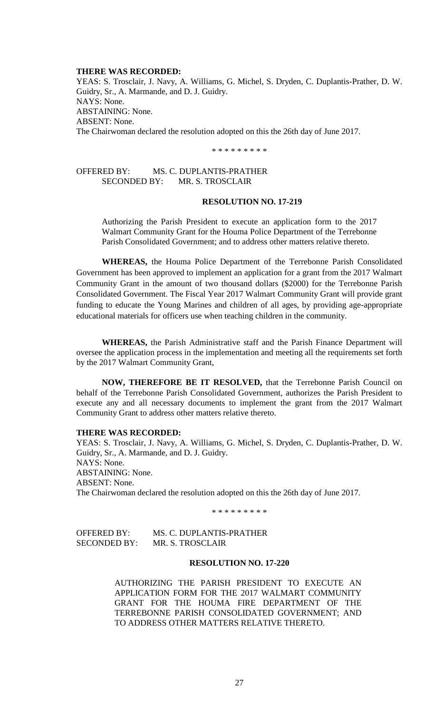#### **THERE WAS RECORDED:**

YEAS: S. Trosclair, J. Navy, A. Williams, G. Michel, S. Dryden, C. Duplantis-Prather, D. W. Guidry, Sr., A. Marmande, and D. J. Guidry. NAYS: None. ABSTAINING: None. ABSENT: None. The Chairwoman declared the resolution adopted on this the 26th day of June 2017.

\* \* \* \* \* \* \* \* \*

## OFFERED BY: MS. C. DUPLANTIS-PRATHER SECONDED BY: MR. S. TROSCLAIR

## **RESOLUTION NO. 17-219**

Authorizing the Parish President to execute an application form to the 2017 Walmart Community Grant for the Houma Police Department of the Terrebonne Parish Consolidated Government; and to address other matters relative thereto.

**WHEREAS,** the Houma Police Department of the Terrebonne Parish Consolidated Government has been approved to implement an application for a grant from the 2017 Walmart Community Grant in the amount of two thousand dollars (\$2000) for the Terrebonne Parish Consolidated Government. The Fiscal Year 2017 Walmart Community Grant will provide grant funding to educate the Young Marines and children of all ages, by providing age-appropriate educational materials for officers use when teaching children in the community.

**WHEREAS,** the Parish Administrative staff and the Parish Finance Department will oversee the application process in the implementation and meeting all the requirements set forth by the 2017 Walmart Community Grant,

**NOW, THEREFORE BE IT RESOLVED,** that the Terrebonne Parish Council on behalf of the Terrebonne Parish Consolidated Government, authorizes the Parish President to execute any and all necessary documents to implement the grant from the 2017 Walmart Community Grant to address other matters relative thereto.

## **THERE WAS RECORDED:**

YEAS: S. Trosclair, J. Navy, A. Williams, G. Michel, S. Dryden, C. Duplantis-Prather, D. W. Guidry, Sr., A. Marmande, and D. J. Guidry. NAYS: None. ABSTAINING: None. ABSENT: None. The Chairwoman declared the resolution adopted on this the 26th day of June 2017.

\* \* \* \* \* \* \* \* \*

OFFERED BY: MS. C. DUPLANTIS-PRATHER SECONDED BY: MR. S. TROSCLAIR

#### **RESOLUTION NO. 17-220**

AUTHORIZING THE PARISH PRESIDENT TO EXECUTE AN APPLICATION FORM FOR THE 2017 WALMART COMMUNITY GRANT FOR THE HOUMA FIRE DEPARTMENT OF THE TERREBONNE PARISH CONSOLIDATED GOVERNMENT; AND TO ADDRESS OTHER MATTERS RELATIVE THERETO.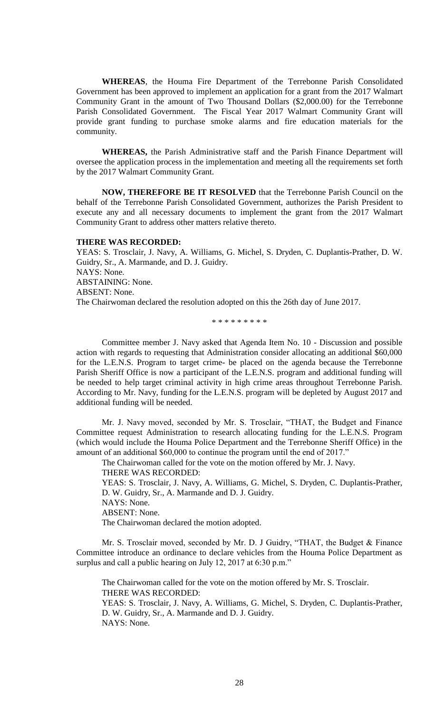**WHEREAS**, the Houma Fire Department of the Terrebonne Parish Consolidated Government has been approved to implement an application for a grant from the 2017 Walmart Community Grant in the amount of Two Thousand Dollars (\$2,000.00) for the Terrebonne Parish Consolidated Government. The Fiscal Year 2017 Walmart Community Grant will provide grant funding to purchase smoke alarms and fire education materials for the community.

**WHEREAS,** the Parish Administrative staff and the Parish Finance Department will oversee the application process in the implementation and meeting all the requirements set forth by the 2017 Walmart Community Grant.

**NOW, THEREFORE BE IT RESOLVED** that the Terrebonne Parish Council on the behalf of the Terrebonne Parish Consolidated Government, authorizes the Parish President to execute any and all necessary documents to implement the grant from the 2017 Walmart Community Grant to address other matters relative thereto.

#### **THERE WAS RECORDED:**

YEAS: S. Trosclair, J. Navy, A. Williams, G. Michel, S. Dryden, C. Duplantis-Prather, D. W. Guidry, Sr., A. Marmande, and D. J. Guidry. NAYS: None. ABSTAINING: None. ABSENT: None. The Chairwoman declared the resolution adopted on this the 26th day of June 2017.

\* \* \* \* \* \* \* \* \*

Committee member J. Navy asked that Agenda Item No. 10 - Discussion and possible action with regards to requesting that Administration consider allocating an additional \$60,000 for the L.E.N.S. Program to target crime- be placed on the agenda because the Terrebonne Parish Sheriff Office is now a participant of the L.E.N.S. program and additional funding will be needed to help target criminal activity in high crime areas throughout Terrebonne Parish. According to Mr. Navy, funding for the L.E.N.S. program will be depleted by August 2017 and additional funding will be needed.

Mr. J. Navy moved, seconded by Mr. S. Trosclair, "THAT, the Budget and Finance Committee request Administration to research allocating funding for the L.E.N.S. Program (which would include the Houma Police Department and the Terrebonne Sheriff Office) in the amount of an additional \$60,000 to continue the program until the end of 2017."

The Chairwoman called for the vote on the motion offered by Mr. J. Navy.

THERE WAS RECORDED:

YEAS: S. Trosclair, J. Navy, A. Williams, G. Michel, S. Dryden, C. Duplantis-Prather, D. W. Guidry, Sr., A. Marmande and D. J. Guidry.

NAYS: None.

ABSENT: None.

The Chairwoman declared the motion adopted.

Mr. S. Trosclair moved, seconded by Mr. D. J Guidry, "THAT, the Budget & Finance Committee introduce an ordinance to declare vehicles from the Houma Police Department as surplus and call a public hearing on July 12, 2017 at 6:30 p.m."

The Chairwoman called for the vote on the motion offered by Mr. S. Trosclair. THERE WAS RECORDED:

YEAS: S. Trosclair, J. Navy, A. Williams, G. Michel, S. Dryden, C. Duplantis-Prather, D. W. Guidry, Sr., A. Marmande and D. J. Guidry. NAYS: None.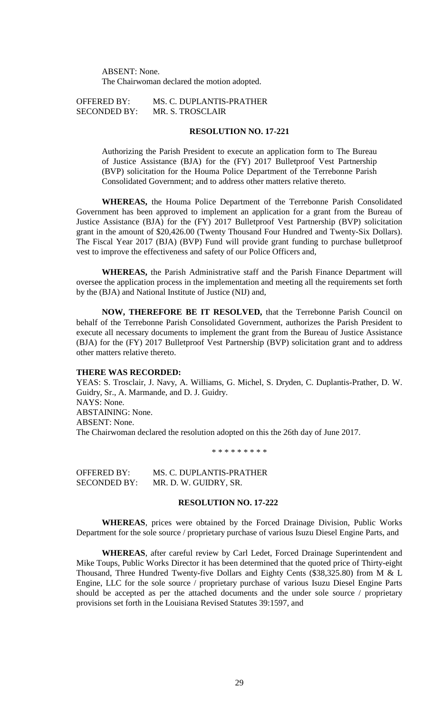ABSENT: None. The Chairwoman declared the motion adopted.

OFFERED BY: MS. C. DUPLANTIS-PRATHER SECONDED BY: MR. S. TROSCLAIR

## **RESOLUTION NO. 17-221**

Authorizing the Parish President to execute an application form to The Bureau of Justice Assistance (BJA) for the (FY) 2017 Bulletproof Vest Partnership (BVP) solicitation for the Houma Police Department of the Terrebonne Parish Consolidated Government; and to address other matters relative thereto.

**WHEREAS,** the Houma Police Department of the Terrebonne Parish Consolidated Government has been approved to implement an application for a grant from the Bureau of Justice Assistance (BJA) for the (FY) 2017 Bulletproof Vest Partnership (BVP) solicitation grant in the amount of \$20,426.00 (Twenty Thousand Four Hundred and Twenty-Six Dollars). The Fiscal Year 2017 (BJA) (BVP) Fund will provide grant funding to purchase bulletproof vest to improve the effectiveness and safety of our Police Officers and,

**WHEREAS,** the Parish Administrative staff and the Parish Finance Department will oversee the application process in the implementation and meeting all the requirements set forth by the (BJA) and National Institute of Justice (NIJ) and,

**NOW, THEREFORE BE IT RESOLVED,** that the Terrebonne Parish Council on behalf of the Terrebonne Parish Consolidated Government, authorizes the Parish President to execute all necessary documents to implement the grant from the Bureau of Justice Assistance (BJA) for the (FY) 2017 Bulletproof Vest Partnership (BVP) solicitation grant and to address other matters relative thereto.

#### **THERE WAS RECORDED:**

YEAS: S. Trosclair, J. Navy, A. Williams, G. Michel, S. Dryden, C. Duplantis-Prather, D. W. Guidry, Sr., A. Marmande, and D. J. Guidry. NAYS: None. ABSTAINING: None. ABSENT: None. The Chairwoman declared the resolution adopted on this the 26th day of June 2017.

\* \* \* \* \* \* \* \* \*

OFFERED BY: MS. C. DUPLANTIS-PRATHER SECONDED BY: MR. D. W. GUIDRY, SR.

## **RESOLUTION NO. 17-222**

**WHEREAS**, prices were obtained by the Forced Drainage Division, Public Works Department for the sole source / proprietary purchase of various Isuzu Diesel Engine Parts, and

**WHEREAS**, after careful review by Carl Ledet, Forced Drainage Superintendent and Mike Toups, Public Works Director it has been determined that the quoted price of Thirty-eight Thousand, Three Hundred Twenty-five Dollars and Eighty Cents (\$38,325.80) from M & L Engine, LLC for the sole source / proprietary purchase of various Isuzu Diesel Engine Parts should be accepted as per the attached documents and the under sole source / proprietary provisions set forth in the Louisiana Revised Statutes 39:1597, and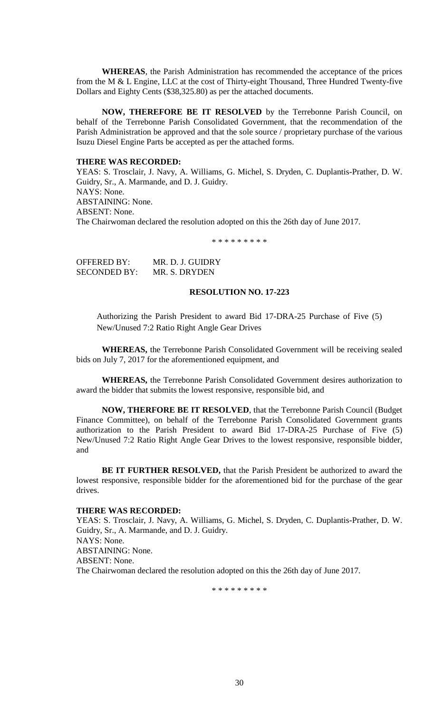**WHEREAS**, the Parish Administration has recommended the acceptance of the prices from the M & L Engine, LLC at the cost of Thirty-eight Thousand, Three Hundred Twenty-five Dollars and Eighty Cents (\$38,325.80) as per the attached documents.

**NOW, THEREFORE BE IT RESOLVED** by the Terrebonne Parish Council, on behalf of the Terrebonne Parish Consolidated Government, that the recommendation of the Parish Administration be approved and that the sole source / proprietary purchase of the various Isuzu Diesel Engine Parts be accepted as per the attached forms.

## **THERE WAS RECORDED:**

YEAS: S. Trosclair, J. Navy, A. Williams, G. Michel, S. Dryden, C. Duplantis-Prather, D. W. Guidry, Sr., A. Marmande, and D. J. Guidry. NAYS: None. ABSTAINING: None. ABSENT: None. The Chairwoman declared the resolution adopted on this the 26th day of June 2017.

\* \* \* \* \* \* \* \* \*

OFFERED BY: MR. D. J. GUIDRY SECONDED BY: MR. S. DRYDEN

### **RESOLUTION NO. 17-223**

Authorizing the Parish President to award Bid 17-DRA-25 Purchase of Five (5) New/Unused 7:2 Ratio Right Angle Gear Drives

**WHEREAS,** the Terrebonne Parish Consolidated Government will be receiving sealed bids on July 7, 2017 for the aforementioned equipment, and

**WHEREAS,** the Terrebonne Parish Consolidated Government desires authorization to award the bidder that submits the lowest responsive, responsible bid, and

**NOW, THERFORE BE IT RESOLVED**, that the Terrebonne Parish Council (Budget Finance Committee), on behalf of the Terrebonne Parish Consolidated Government grants authorization to the Parish President to award Bid 17-DRA-25 Purchase of Five (5) New/Unused 7:2 Ratio Right Angle Gear Drives to the lowest responsive, responsible bidder, and

**BE IT FURTHER RESOLVED,** that the Parish President be authorized to award the lowest responsive, responsible bidder for the aforementioned bid for the purchase of the gear drives.

#### **THERE WAS RECORDED:**

YEAS: S. Trosclair, J. Navy, A. Williams, G. Michel, S. Dryden, C. Duplantis-Prather, D. W. Guidry, Sr., A. Marmande, and D. J. Guidry. NAYS: None. ABSTAINING: None. ABSENT: None. The Chairwoman declared the resolution adopted on this the 26th day of June 2017.

\* \* \* \* \* \* \* \* \*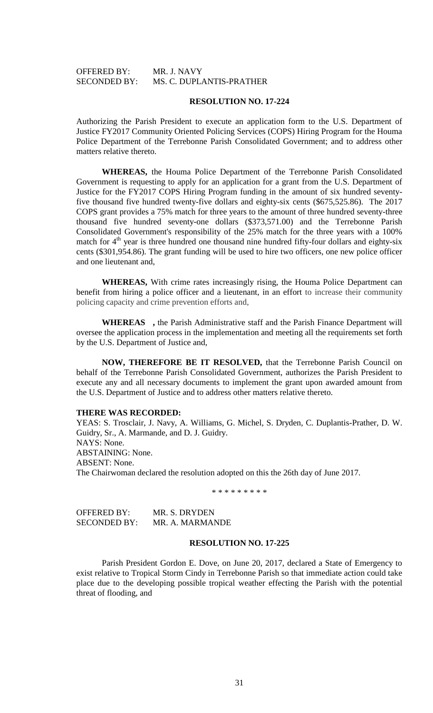## OFFERED BY: MR. J. NAVY SECONDED BY: MS. C. DUPLANTIS-PRATHER

### **RESOLUTION NO. 17-224**

Authorizing the Parish President to execute an application form to the U.S. Department of Justice FY2017 Community Oriented Policing Services (COPS) Hiring Program for the Houma Police Department of the Terrebonne Parish Consolidated Government; and to address other matters relative thereto.

**WHEREAS,** the Houma Police Department of the Terrebonne Parish Consolidated Government is requesting to apply for an application for a grant from the U.S. Department of Justice for the FY2017 COPS Hiring Program funding in the amount of six hundred seventyfive thousand five hundred twenty-five dollars and eighty-six cents (\$675,525.86). The 2017 COPS grant provides a 75% match for three years to the amount of three hundred seventy-three thousand five hundred seventy-one dollars (\$373,571.00) and the Terrebonne Parish Consolidated Government's responsibility of the 25% match for the three years with a 100% match for  $4<sup>th</sup>$  year is three hundred one thousand nine hundred fifty-four dollars and eighty-six cents (\$301,954.86). The grant funding will be used to hire two officers, one new police officer and one lieutenant and,

**WHEREAS,** With crime rates increasingly rising, the Houma Police Department can benefit from hiring a police officer and a lieutenant, in an effort to increase their community policing capacity and crime prevention efforts and,

**WHEREAS ,** the Parish Administrative staff and the Parish Finance Department will oversee the application process in the implementation and meeting all the requirements set forth by the U.S. Department of Justice and,

**NOW, THEREFORE BE IT RESOLVED,** that the Terrebonne Parish Council on behalf of the Terrebonne Parish Consolidated Government, authorizes the Parish President to execute any and all necessary documents to implement the grant upon awarded amount from the U.S. Department of Justice and to address other matters relative thereto.

## **THERE WAS RECORDED:**

YEAS: S. Trosclair, J. Navy, A. Williams, G. Michel, S. Dryden, C. Duplantis-Prather, D. W. Guidry, Sr., A. Marmande, and D. J. Guidry. NAYS: None. ABSTAINING: None. ABSENT: None. The Chairwoman declared the resolution adopted on this the 26th day of June 2017.

\* \* \* \* \* \* \* \* \*

| OFFERED BY:         | MR. S. DRYDEN   |
|---------------------|-----------------|
| <b>SECONDED BY:</b> | MR. A. MARMANDE |

## **RESOLUTION NO. 17-225**

Parish President Gordon E. Dove, on June 20, 2017, declared a State of Emergency to exist relative to Tropical Storm Cindy in Terrebonne Parish so that immediate action could take place due to the developing possible tropical weather effecting the Parish with the potential threat of flooding, and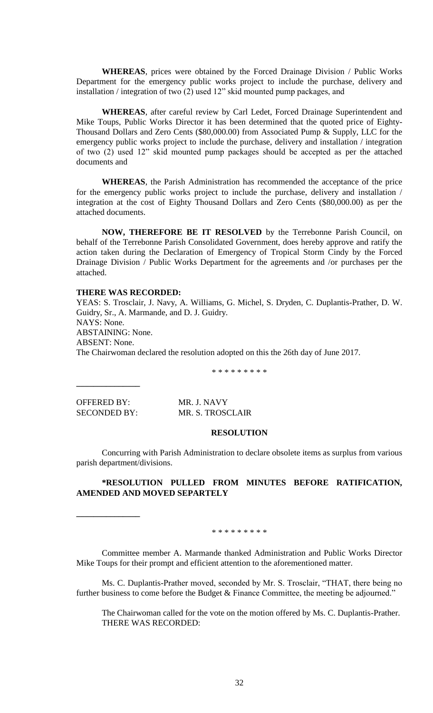**WHEREAS**, prices were obtained by the Forced Drainage Division / Public Works Department for the emergency public works project to include the purchase, delivery and installation / integration of two (2) used 12" skid mounted pump packages, and

**WHEREAS**, after careful review by Carl Ledet, Forced Drainage Superintendent and Mike Toups, Public Works Director it has been determined that the quoted price of Eighty-Thousand Dollars and Zero Cents (\$80,000.00) from Associated Pump & Supply, LLC for the emergency public works project to include the purchase, delivery and installation / integration of two (2) used 12" skid mounted pump packages should be accepted as per the attached documents and

**WHEREAS**, the Parish Administration has recommended the acceptance of the price for the emergency public works project to include the purchase, delivery and installation / integration at the cost of Eighty Thousand Dollars and Zero Cents (\$80,000.00) as per the attached documents.

**NOW, THEREFORE BE IT RESOLVED** by the Terrebonne Parish Council, on behalf of the Terrebonne Parish Consolidated Government, does hereby approve and ratify the action taken during the Declaration of Emergency of Tropical Storm Cindy by the Forced Drainage Division / Public Works Department for the agreements and /or purchases per the attached.

### **THERE WAS RECORDED:**

YEAS: S. Trosclair, J. Navy, A. Williams, G. Michel, S. Dryden, C. Duplantis-Prather, D. W. Guidry, Sr., A. Marmande, and D. J. Guidry. NAYS: None. ABSTAINING: None. ABSENT: None. The Chairwoman declared the resolution adopted on this the 26th day of June 2017.

\* \* \* \* \* \* \* \* \*

OFFERED BY: MR. J. NAVY

**\_\_\_\_\_\_\_\_\_\_\_\_\_\_\_**

**\_\_\_\_\_\_\_\_\_\_\_\_\_\_\_**

SECONDED BY: MR. S. TROSCLAIR

#### **RESOLUTION**

Concurring with Parish Administration to declare obsolete items as surplus from various parish department/divisions.

## **\*RESOLUTION PULLED FROM MINUTES BEFORE RATIFICATION, AMENDED AND MOVED SEPARTELY**

#### \* \* \* \* \* \* \* \*

Committee member A. Marmande thanked Administration and Public Works Director Mike Toups for their prompt and efficient attention to the aforementioned matter.

Ms. C. Duplantis-Prather moved, seconded by Mr. S. Trosclair, "THAT, there being no further business to come before the Budget & Finance Committee, the meeting be adjourned."

The Chairwoman called for the vote on the motion offered by Ms. C. Duplantis-Prather. THERE WAS RECORDED: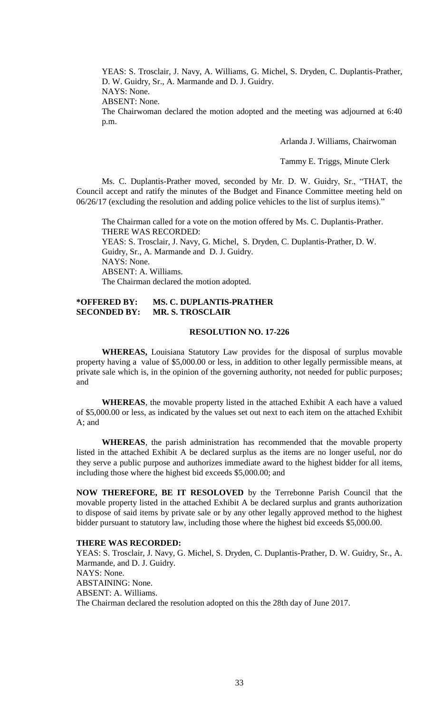YEAS: S. Trosclair, J. Navy, A. Williams, G. Michel, S. Dryden, C. Duplantis-Prather, D. W. Guidry, Sr., A. Marmande and D. J. Guidry. NAYS: None.

ABSENT: None.

The Chairwoman declared the motion adopted and the meeting was adjourned at 6:40 p.m.

Arlanda J. Williams, Chairwoman

Tammy E. Triggs, Minute Clerk

Ms. C. Duplantis-Prather moved, seconded by Mr. D. W. Guidry, Sr., "THAT, the Council accept and ratify the minutes of the Budget and Finance Committee meeting held on 06/26/17 (excluding the resolution and adding police vehicles to the list of surplus items)."

The Chairman called for a vote on the motion offered by Ms. C. Duplantis-Prather. THERE WAS RECORDED: YEAS: S. Trosclair, J. Navy, G. Michel, S. Dryden, C. Duplantis-Prather, D. W. Guidry, Sr., A. Marmande and D. J. Guidry. NAYS: None. ABSENT: A. Williams. The Chairman declared the motion adopted.

## **\*OFFERED BY: MS. C. DUPLANTIS-PRATHER SECONDED BY: MR. S. TROSCLAIR**

## **RESOLUTION NO. 17-226**

**WHEREAS,** Louisiana Statutory Law provides for the disposal of surplus movable property having a value of \$5,000.00 or less, in addition to other legally permissible means, at private sale which is, in the opinion of the governing authority, not needed for public purposes; and

**WHEREAS**, the movable property listed in the attached Exhibit A each have a valued of \$5,000.00 or less, as indicated by the values set out next to each item on the attached Exhibit A; and

**WHEREAS**, the parish administration has recommended that the movable property listed in the attached Exhibit A be declared surplus as the items are no longer useful, nor do they serve a public purpose and authorizes immediate award to the highest bidder for all items, including those where the highest bid exceeds \$5,000.00; and

**NOW THEREFORE, BE IT RESOLOVED** by the Terrebonne Parish Council that the movable property listed in the attached Exhibit A be declared surplus and grants authorization to dispose of said items by private sale or by any other legally approved method to the highest bidder pursuant to statutory law, including those where the highest bid exceeds \$5,000.00.

## **THERE WAS RECORDED:**

YEAS: S. Trosclair, J. Navy, G. Michel, S. Dryden, C. Duplantis-Prather, D. W. Guidry, Sr., A. Marmande, and D. J. Guidry. NAYS: None. ABSTAINING: None. ABSENT: A. Williams. The Chairman declared the resolution adopted on this the 28th day of June 2017.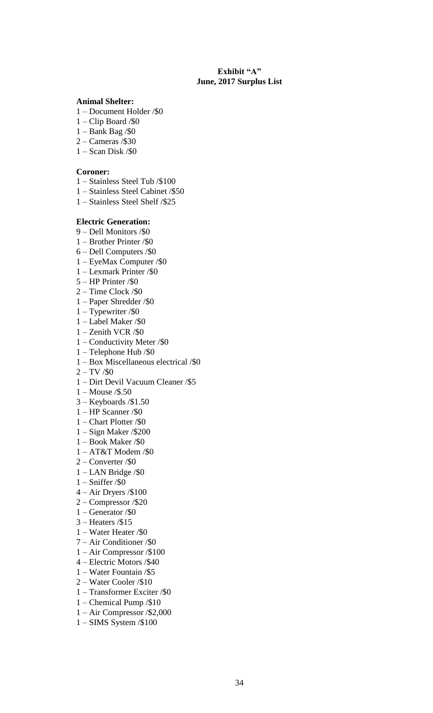## **Exhibit "A" June, 2017 Surplus List**

### **Animal Shelter:**

- 1 Document Holder /\$0
- $1 -$ Clip Board /\$0
- 1 Bank Bag /\$0
- 2 Cameras /\$30
- 1 Scan Disk /\$0

## **Coroner:**

- 1 Stainless Steel Tub /\$100
- 1 Stainless Steel Cabinet /\$50
- 1 Stainless Steel Shelf /\$25

## **Electric Generation:**

- 9 Dell Monitors /\$0
- 1 Brother Printer /\$0
- 6 Dell Computers /\$0
- 1 EyeMax Computer /\$0
- 1 Lexmark Printer /\$0
- 5 HP Printer /\$0
- 2 Time Clock /\$0
- 1 Paper Shredder /\$0
- 1 Typewriter /\$0
- 1 Label Maker /\$0
- 1 Zenith VCR /\$0
- 1 Conductivity Meter /\$0
- 1 Telephone Hub /\$0
- 1 Box Miscellaneous electrical /\$0
- $2 TV / $0$
- 1 Dirt Devil Vacuum Cleaner /\$5
- 1 Mouse /\$.50
- 3 Keyboards /\$1.50
- 1 HP Scanner /\$0
- 1 Chart Plotter /\$0
- 1 Sign Maker /\$200
- 1 Book Maker /\$0
- $1 AT&T Moden$ /\$0
- 2 Converter /\$0
- 1 LAN Bridge /\$0
- 1 Sniffer /\$0
- 4 Air Dryers /\$100
- 2 Compressor /\$20
- 1 Generator /\$0
- 3 Heaters /\$15
- 1 Water Heater /\$0
- 7 Air Conditioner /\$0
- 1 Air Compressor /\$100
- 4 Electric Motors /\$40
- 1 Water Fountain /\$5
- 2 Water Cooler /\$10
- 1 Transformer Exciter /\$0
- 1 Chemical Pump /\$10
- 1 Air Compressor /\$2,000
- 1 SIMS System /\$100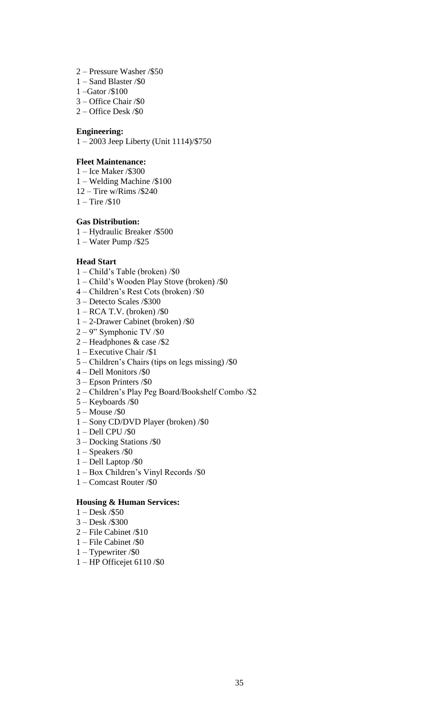- 2 Pressure Washer /\$50
- 1 Sand Blaster /\$0
- 1 –Gator /\$100
- 3 Office Chair /\$0
- 2 Office Desk /\$0

## **Engineering:**

1 – 2003 Jeep Liberty (Unit 1114)/\$750

## **Fleet Maintenance:**

- 1 Ice Maker /\$300
- 1 Welding Machine /\$100
- 12 Tire w/Rims /\$240
- 1 Tire /\$10

## **Gas Distribution:**

- 1 Hydraulic Breaker /\$500
- 1 Water Pump /\$25

## **Head Start**

- 1 Child's Table (broken) /\$0
- 1 Child's Wooden Play Stove (broken) /\$0
- 4 Children's Rest Cots (broken) /\$0
- 3 Detecto Scales /\$300
- 1 RCA T.V. (broken) /\$0
- 1 2-Drawer Cabinet (broken) /\$0
- $2 9$ " Symphonic TV /\$0
- 2 Headphones & case /\$2
- 1 Executive Chair /\$1
- 5 Children's Chairs (tips on legs missing) /\$0
- 4 Dell Monitors /\$0
- 3 Epson Printers /\$0
- 2 Children's Play Peg Board/Bookshelf Combo /\$2
- 5 Keyboards /\$0
- 5 Mouse /\$0
- 1 Sony CD/DVD Player (broken) /\$0
- 1 Dell CPU /\$0
- 3 Docking Stations /\$0
- 1 Speakers /\$0
- 1 Dell Laptop /\$0
- 1 Box Children's Vinyl Records /\$0
- 1 Comcast Router /\$0

## **Housing & Human Services:**

- 1 Desk /\$50
- 3 Desk /\$300
- 2 File Cabinet /\$10
- 1 File Cabinet /\$0
- 1 Typewriter /\$0
- 1 HP Officejet 6110 /\$0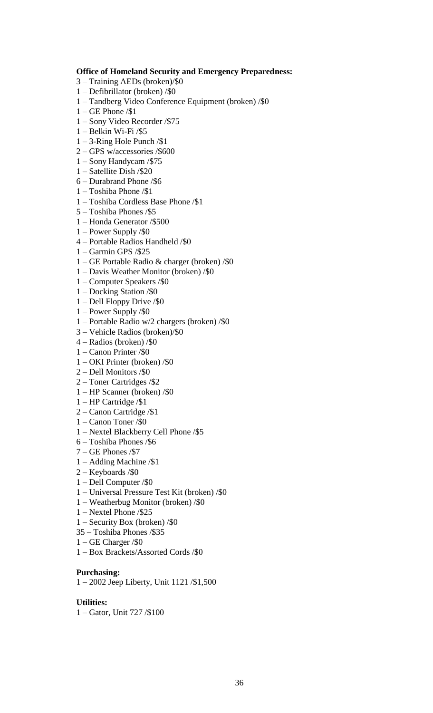## **Office of Homeland Security and Emergency Preparedness:**

- 3 Training AEDs (broken)/\$0
- 1 Defibrillator (broken) /\$0
- 1 Tandberg Video Conference Equipment (broken) /\$0
- 1 GE Phone /\$1
- 1 Sony Video Recorder /\$75
- 1 Belkin Wi-Fi /\$5
- 1 3-Ring Hole Punch /\$1
- 2 GPS w/accessories /\$600
- 1 Sony Handycam /\$75
- 1 Satellite Dish /\$20
- 6 Durabrand Phone /\$6
- 1 Toshiba Phone /\$1
- 1 Toshiba Cordless Base Phone /\$1
- 5 Toshiba Phones /\$5
- 1 Honda Generator /\$500
- 1 Power Supply /\$0
- 4 Portable Radios Handheld /\$0
- 1 Garmin GPS /\$25
- 1 GE Portable Radio & charger (broken) /\$0
- 1 Davis Weather Monitor (broken) /\$0
- 1 Computer Speakers /\$0
- 1 Docking Station /\$0
- 1 Dell Floppy Drive /\$0
- 1 Power Supply /\$0
- 1 Portable Radio w/2 chargers (broken) /\$0
- 3 Vehicle Radios (broken)/\$0
- 4 Radios (broken) /\$0
- 1 Canon Printer /\$0
- 1 OKI Printer (broken) /\$0
- 2 Dell Monitors /\$0
- 2 Toner Cartridges /\$2
- 1 HP Scanner (broken) /\$0
- 1 HP Cartridge /\$1
- 2 Canon Cartridge /\$1
- 1 Canon Toner /\$0
- 1 Nextel Blackberry Cell Phone /\$5
- 6 Toshiba Phones /\$6
- $7 GE$  Phones /\$7
- 1 Adding Machine /\$1
- 2 Keyboards /\$0
- 1 Dell Computer /\$0
- 1 Universal Pressure Test Kit (broken) /\$0
- 1 Weatherbug Monitor (broken) /\$0
- 1 Nextel Phone /\$25
- 1 Security Box (broken) /\$0
- 35 Toshiba Phones /\$35
- 1 GE Charger /\$0
- 1 Box Brackets/Assorted Cords /\$0

## **Purchasing:**

1 – 2002 Jeep Liberty, Unit 1121 /\$1,500

## **Utilities:**

1 – Gator, Unit 727 /\$100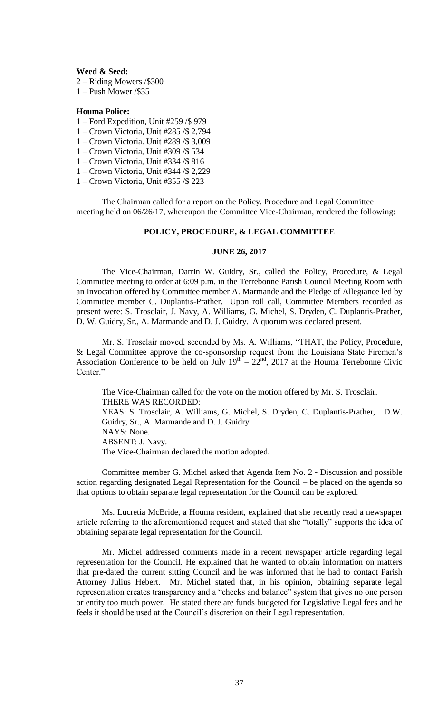**Weed & Seed:**

2 – Riding Mowers /\$300

1 – Push Mower /\$35

### **Houma Police:**

- 1 Ford Expedition, Unit #259 /\$ 979
- 1 Crown Victoria, Unit #285 /\$ 2,794
- 1 Crown Victoria. Unit #289 /\$ 3,009
- 1 Crown Victoria, Unit #309 /\$ 534
- 1 Crown Victoria, Unit #334 /\$ 816
- 1 Crown Victoria, Unit #344 /\$ 2,229
- 1 Crown Victoria, Unit #355 /\$ 223

The Chairman called for a report on the Policy. Procedure and Legal Committee meeting held on 06/26/17, whereupon the Committee Vice-Chairman, rendered the following:

## **POLICY, PROCEDURE, & LEGAL COMMITTEE**

### **JUNE 26, 2017**

The Vice-Chairman, Darrin W. Guidry, Sr., called the Policy, Procedure, & Legal Committee meeting to order at 6:09 p.m. in the Terrebonne Parish Council Meeting Room with an Invocation offered by Committee member A. Marmande and the Pledge of Allegiance led by Committee member C. Duplantis-Prather. Upon roll call, Committee Members recorded as present were: S. Trosclair, J. Navy, A. Williams, G. Michel, S. Dryden, C. Duplantis-Prather, D. W. Guidry, Sr., A. Marmande and D. J. Guidry. A quorum was declared present.

Mr. S. Trosclair moved, seconded by Ms. A. Williams, "THAT, the Policy, Procedure, & Legal Committee approve the co-sponsorship request from the Louisiana State Firemen's Association Conference to be held on July  $19<sup>th</sup> - 22<sup>nd</sup>$ , 2017 at the Houma Terrebonne Civic Center<sup>"</sup>

The Vice-Chairman called for the vote on the motion offered by Mr. S. Trosclair. THERE WAS RECORDED: YEAS: S. Trosclair, A. Williams, G. Michel, S. Dryden, C. Duplantis-Prather, D.W. Guidry, Sr., A. Marmande and D. J. Guidry. NAYS: None. ABSENT: J. Navy. The Vice-Chairman declared the motion adopted.

Committee member G. Michel asked that Agenda Item No. 2 - Discussion and possible action regarding designated Legal Representation for the Council – be placed on the agenda so that options to obtain separate legal representation for the Council can be explored.

Ms. Lucretia McBride, a Houma resident, explained that she recently read a newspaper article referring to the aforementioned request and stated that she "totally" supports the idea of obtaining separate legal representation for the Council.

Mr. Michel addressed comments made in a recent newspaper article regarding legal representation for the Council. He explained that he wanted to obtain information on matters that pre-dated the current sitting Council and he was informed that he had to contact Parish Attorney Julius Hebert. Mr. Michel stated that, in his opinion, obtaining separate legal representation creates transparency and a "checks and balance" system that gives no one person or entity too much power. He stated there are funds budgeted for Legislative Legal fees and he feels it should be used at the Council's discretion on their Legal representation.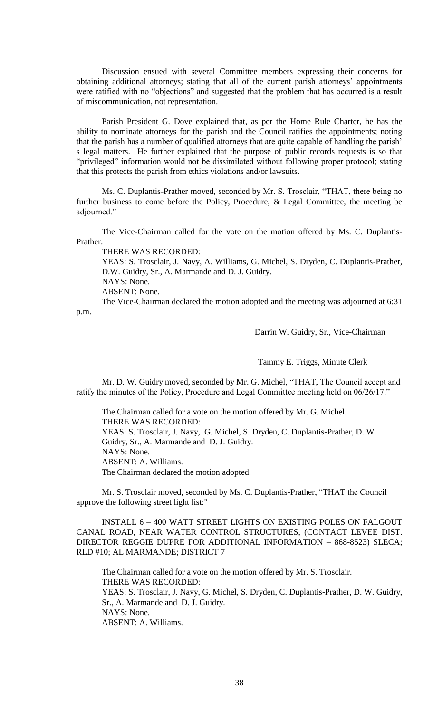Discussion ensued with several Committee members expressing their concerns for obtaining additional attorneys; stating that all of the current parish attorneys' appointments were ratified with no "objections" and suggested that the problem that has occurred is a result of miscommunication, not representation.

Parish President G. Dove explained that, as per the Home Rule Charter, he has the ability to nominate attorneys for the parish and the Council ratifies the appointments; noting that the parish has a number of qualified attorneys that are quite capable of handling the parish' s legal matters. He further explained that the purpose of public records requests is so that "privileged" information would not be dissimilated without following proper protocol; stating that this protects the parish from ethics violations and/or lawsuits.

Ms. C. Duplantis-Prather moved, seconded by Mr. S. Trosclair, "THAT, there being no further business to come before the Policy, Procedure, & Legal Committee, the meeting be adjourned."

The Vice-Chairman called for the vote on the motion offered by Ms. C. Duplantis-Prather.

THERE WAS RECORDED:

YEAS: S. Trosclair, J. Navy, A. Williams, G. Michel, S. Dryden, C. Duplantis-Prather, D.W. Guidry, Sr., A. Marmande and D. J. Guidry. NAYS: None.

ABSENT: None.

The Vice-Chairman declared the motion adopted and the meeting was adjourned at 6:31 p.m.

Darrin W. Guidry, Sr., Vice-Chairman

Tammy E. Triggs, Minute Clerk

Mr. D. W. Guidry moved, seconded by Mr. G. Michel, "THAT, The Council accept and ratify the minutes of the Policy, Procedure and Legal Committee meeting held on 06/26/17."

The Chairman called for a vote on the motion offered by Mr. G. Michel. THERE WAS RECORDED: YEAS: S. Trosclair, J. Navy, G. Michel, S. Dryden, C. Duplantis-Prather, D. W. Guidry, Sr., A. Marmande and D. J. Guidry. NAYS: None. ABSENT: A. Williams. The Chairman declared the motion adopted.

Mr. S. Trosclair moved, seconded by Ms. C. Duplantis-Prather, "THAT the Council approve the following street light list:"

INSTALL 6 – 400 WATT STREET LIGHTS ON EXISTING POLES ON FALGOUT CANAL ROAD, NEAR WATER CONTROL STRUCTURES, (CONTACT LEVEE DIST. DIRECTOR REGGIE DUPRE FOR ADDITIONAL INFORMATION – 868-8523) SLECA; RLD #10; AL MARMANDE; DISTRICT 7

The Chairman called for a vote on the motion offered by Mr. S. Trosclair. THERE WAS RECORDED: YEAS: S. Trosclair, J. Navy, G. Michel, S. Dryden, C. Duplantis-Prather, D. W. Guidry, Sr., A. Marmande and D. J. Guidry. NAYS: None. ABSENT: A. Williams.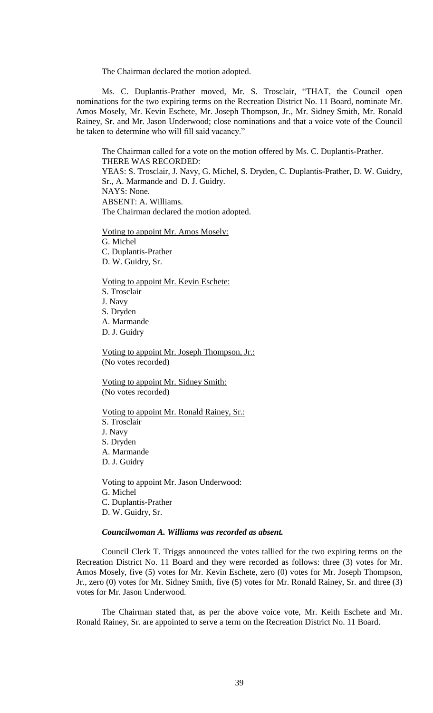The Chairman declared the motion adopted.

Ms. C. Duplantis-Prather moved, Mr. S. Trosclair, "THAT, the Council open nominations for the two expiring terms on the Recreation District No. 11 Board, nominate Mr. Amos Mosely, Mr. Kevin Eschete, Mr. Joseph Thompson, Jr., Mr. Sidney Smith, Mr. Ronald Rainey, Sr. and Mr. Jason Underwood; close nominations and that a voice vote of the Council be taken to determine who will fill said vacancy."

The Chairman called for a vote on the motion offered by Ms. C. Duplantis-Prather. THERE WAS RECORDED: YEAS: S. Trosclair, J. Navy, G. Michel, S. Dryden, C. Duplantis-Prather, D. W. Guidry, Sr., A. Marmande and D. J. Guidry. NAYS: None. ABSENT: A. Williams. The Chairman declared the motion adopted.

Voting to appoint Mr. Amos Mosely: G. Michel C. Duplantis-Prather D. W. Guidry, Sr.

Voting to appoint Mr. Kevin Eschete: S. Trosclair J. Navy S. Dryden A. Marmande D. J. Guidry

Voting to appoint Mr. Joseph Thompson, Jr.: (No votes recorded)

Voting to appoint Mr. Sidney Smith: (No votes recorded)

Voting to appoint Mr. Ronald Rainey, Sr.: S. Trosclair J. Navy S. Dryden A. Marmande D. J. Guidry

Voting to appoint Mr. Jason Underwood: G. Michel C. Duplantis-Prather D. W. Guidry, Sr.

## *Councilwoman A. Williams was recorded as absent.*

Council Clerk T. Triggs announced the votes tallied for the two expiring terms on the Recreation District No. 11 Board and they were recorded as follows: three (3) votes for Mr. Amos Mosely, five (5) votes for Mr. Kevin Eschete, zero (0) votes for Mr. Joseph Thompson, Jr., zero (0) votes for Mr. Sidney Smith, five (5) votes for Mr. Ronald Rainey, Sr. and three (3) votes for Mr. Jason Underwood.

The Chairman stated that, as per the above voice vote, Mr. Keith Eschete and Mr. Ronald Rainey, Sr. are appointed to serve a term on the Recreation District No. 11 Board.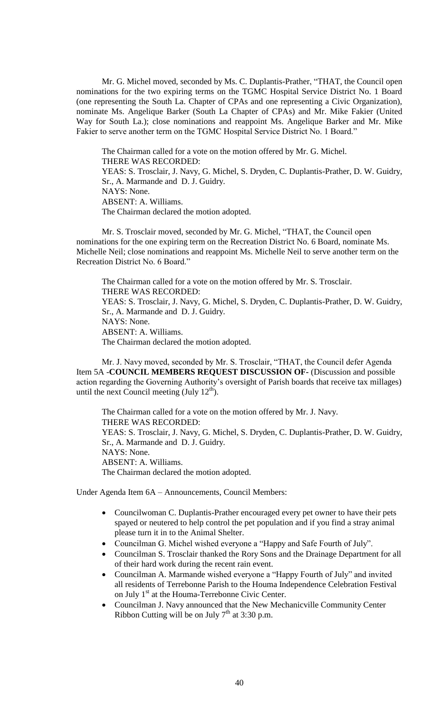Mr. G. Michel moved, seconded by Ms. C. Duplantis-Prather, "THAT, the Council open nominations for the two expiring terms on the TGMC Hospital Service District No. 1 Board (one representing the South La. Chapter of CPAs and one representing a Civic Organization), nominate Ms. Angelique Barker (South La Chapter of CPAs) and Mr. Mike Fakier (United Way for South La.); close nominations and reappoint Ms. Angelique Barker and Mr. Mike Fakier to serve another term on the TGMC Hospital Service District No. 1 Board."

The Chairman called for a vote on the motion offered by Mr. G. Michel. THERE WAS RECORDED: YEAS: S. Trosclair, J. Navy, G. Michel, S. Dryden, C. Duplantis-Prather, D. W. Guidry, Sr., A. Marmande and D. J. Guidry. NAYS: None. ABSENT: A. Williams. The Chairman declared the motion adopted.

Mr. S. Trosclair moved, seconded by Mr. G. Michel, "THAT, the Council open nominations for the one expiring term on the Recreation District No. 6 Board, nominate Ms. Michelle Neil; close nominations and reappoint Ms. Michelle Neil to serve another term on the Recreation District No. 6 Board."

The Chairman called for a vote on the motion offered by Mr. S. Trosclair. THERE WAS RECORDED: YEAS: S. Trosclair, J. Navy, G. Michel, S. Dryden, C. Duplantis-Prather, D. W. Guidry, Sr., A. Marmande and D. J. Guidry. NAYS: None. ABSENT: A. Williams. The Chairman declared the motion adopted.

Mr. J. Navy moved, seconded by Mr. S. Trosclair, "THAT, the Council defer Agenda Item 5A -**COUNCIL MEMBERS REQUEST DISCUSSION OF-** (Discussion and possible action regarding the Governing Authority's oversight of Parish boards that receive tax millages) until the next Council meeting (July  $12<sup>th</sup>$ ).

The Chairman called for a vote on the motion offered by Mr. J. Navy. THERE WAS RECORDED: YEAS: S. Trosclair, J. Navy, G. Michel, S. Dryden, C. Duplantis-Prather, D. W. Guidry, Sr., A. Marmande and D. J. Guidry. NAYS: None. ABSENT: A. Williams. The Chairman declared the motion adopted.

Under Agenda Item 6A – Announcements, Council Members:

- Councilwoman C. Duplantis-Prather encouraged every pet owner to have their pets spayed or neutered to help control the pet population and if you find a stray animal please turn it in to the Animal Shelter.
- Councilman G. Michel wished everyone a "Happy and Safe Fourth of July".
- Councilman S. Trosclair thanked the Rory Sons and the Drainage Department for all of their hard work during the recent rain event.
- Councilman A. Marmande wished everyone a "Happy Fourth of July" and invited all residents of Terrebonne Parish to the Houma Independence Celebration Festival on July 1<sup>st</sup> at the Houma-Terrebonne Civic Center.
- Councilman J. Navy announced that the New Mechanicville Community Center Ribbon Cutting will be on July  $7<sup>th</sup>$  at 3:30 p.m.